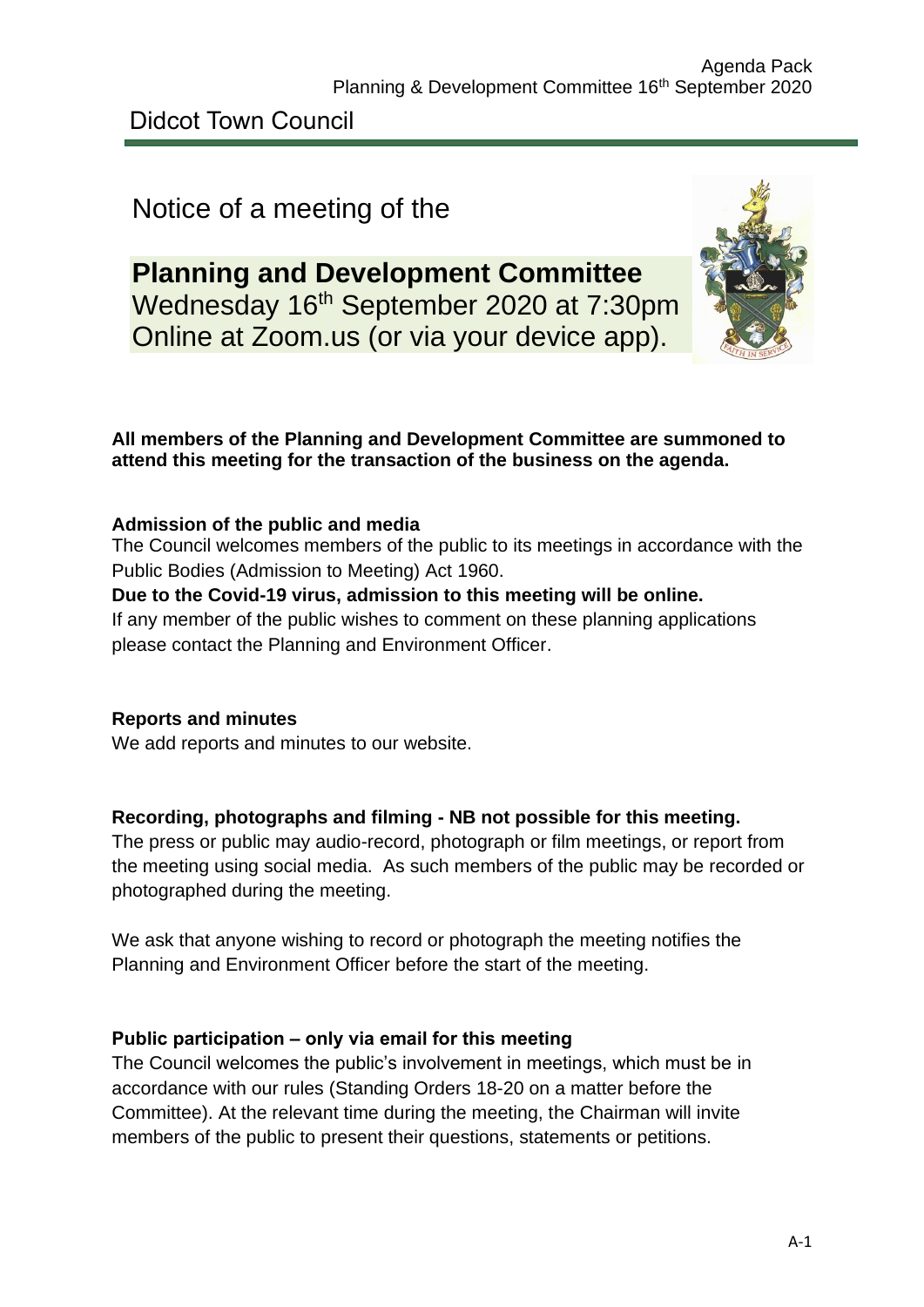Didcot Town Council

# Notice of a meeting of the

**Planning and Development Committee** Wednesday 16<sup>th</sup> September 2020 at 7:30pm Online at Zoom.us (or via your device app).



## **All members of the Planning and Development Committee are summoned to attend this meeting for the transaction of the business on the agenda.**

# **Admission of the public and media**

The Council welcomes members of the public to its meetings in accordance with the Public Bodies (Admission to Meeting) Act 1960.

# **Due to the Covid-19 virus, admission to this meeting will be online.**

If any member of the public wishes to comment on these planning applications please contact the Planning and Environment Officer.

#### **Reports and minutes**

We add reports and minutes to our website.

#### **Recording, photographs and filming - NB not possible for this meeting.**

The press or public may audio-record, photograph or film meetings, or report from the meeting using social media. As such members of the public may be recorded or photographed during the meeting.

We ask that anyone wishing to record or photograph the meeting notifies the Planning and Environment Officer before the start of the meeting.

#### **Public participation – only via email for this meeting**

The Council welcomes the public's involvement in meetings, which must be in accordance with our rules (Standing Orders 18-20 on a matter before the Committee). At the relevant time during the meeting, the Chairman will invite members of the public to present their questions, statements or petitions.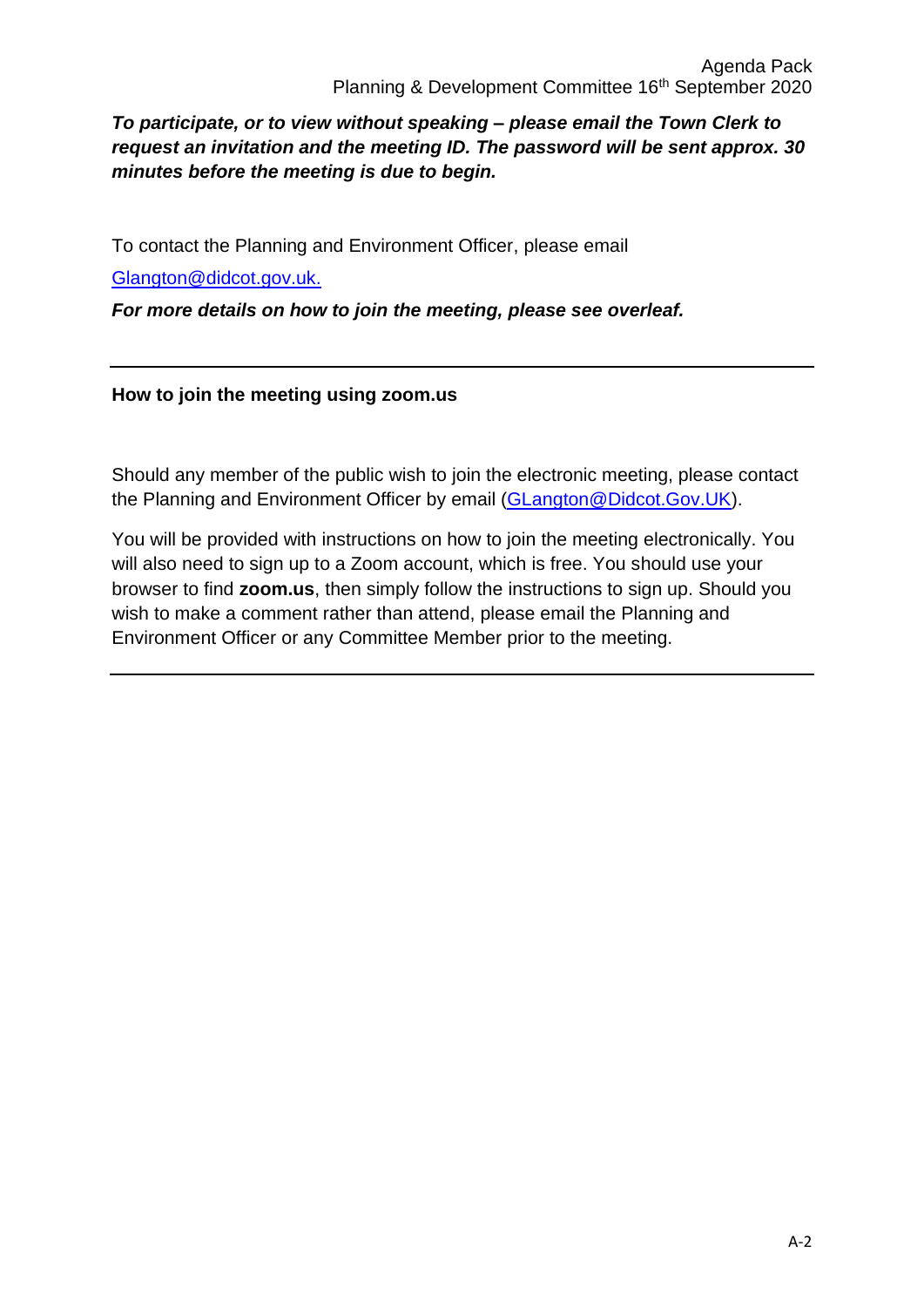# *To participate, or to view without speaking – please email the Town Clerk to request an invitation and the meeting ID. The password will be sent approx. 30 minutes before the meeting is due to begin.*

To contact the Planning and Environment Officer, please email

[Glangton@didcot.gov.uk.](mailto:Glangton@didcot.gov.uk)

*For more details on how to join the meeting, please see overleaf.*

#### **How to join the meeting using zoom.us**

Should any member of the public wish to join the electronic meeting, please contact the Planning and Environment Officer by email [\(GLangton@Didcot.Gov.UK\)](mailto:GLangton@Didcot.Gov.UK).

You will be provided with instructions on how to join the meeting electronically. You will also need to sign up to a Zoom account, which is free. You should use your browser to find **zoom.us**, then simply follow the instructions to sign up. Should you wish to make a comment rather than attend, please email the Planning and Environment Officer or any Committee Member prior to the meeting.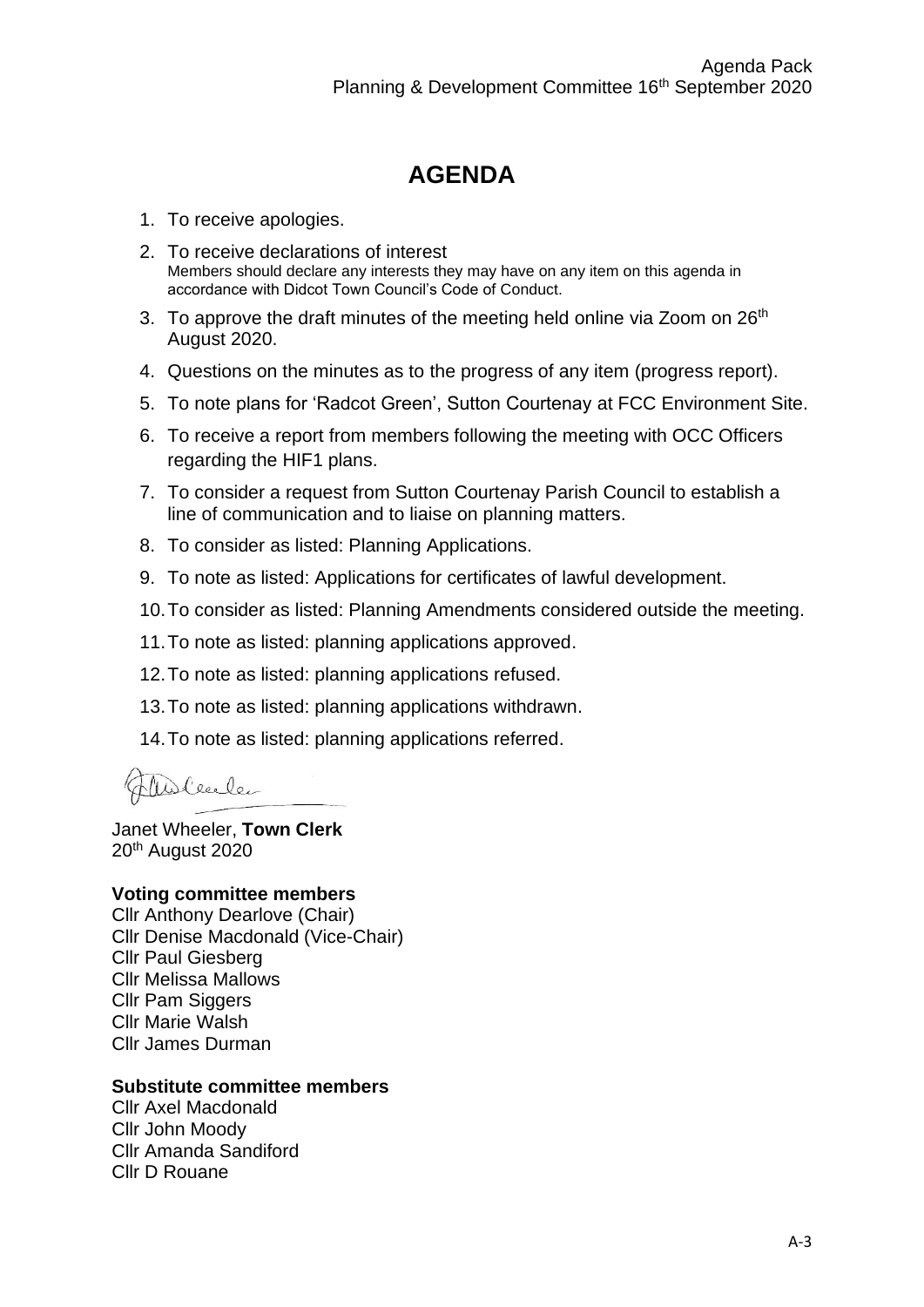# **AGENDA**

- 1. To receive apologies.
- 2. To receive declarations of interest Members should declare any interests they may have on any item on this agenda in accordance with Didcot Town Council's Code of Conduct.
- 3. To approve the draft minutes of the meeting held online via Zoom on  $26<sup>th</sup>$ August 2020.
- 4. Questions on the minutes as to the progress of any item (progress report).
- 5. To note plans for 'Radcot Green', Sutton Courtenay at FCC Environment Site.
- 6. To receive a report from members following the meeting with OCC Officers regarding the HIF1 plans.
- 7. To consider a request from Sutton Courtenay Parish Council to establish a line of communication and to liaise on planning matters.
- 8. To consider as listed: Planning Applications.
- 9. To note as listed: Applications for certificates of lawful development.
- 10.To consider as listed: Planning Amendments considered outside the meeting.
- 11.To note as listed: planning applications approved.
- 12.To note as listed: planning applications refused.
- 13.To note as listed: planning applications withdrawn.
- 14.To note as listed: planning applications referred.

Theoleecle

Janet Wheeler, **Town Clerk** 20th August 2020

#### **Voting committee members**

Cllr Anthony Dearlove (Chair) Cllr Denise Macdonald (Vice-Chair) Cllr Paul Giesberg Cllr Melissa Mallows Cllr Pam Siggers Cllr Marie Walsh Cllr James Durman

#### **Substitute committee members**

Cllr Axel Macdonald Cllr John Moody Cllr Amanda Sandiford Cllr D Rouane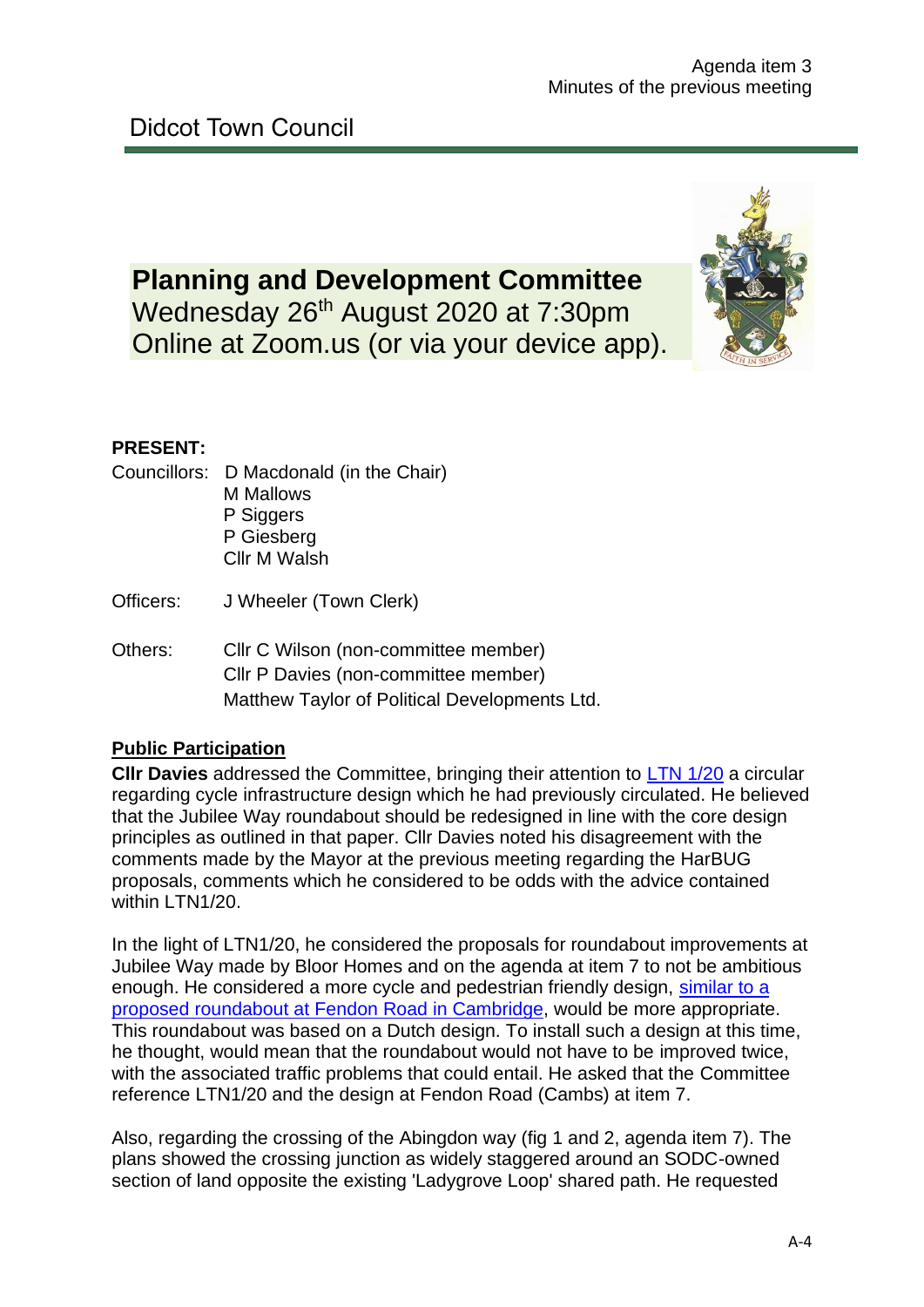# **Planning and Development Committee** Wednesday 26<sup>th</sup> August 2020 at 7:30pm

Online at Zoom.us (or via your device app).



# **PRESENT:**

- Councillors: D Macdonald (in the Chair) M Mallows P Siggers P Giesberg Cllr M Walsh
- Officers: J Wheeler (Town Clerk)
- Others: Cllr C Wilson (non-committee member) Cllr P Davies (non-committee member) Matthew Taylor of Political Developments Ltd.

# **Public Participation**

**Cllr Davies** addressed the Committee, bringing their attention to [LTN 1/20](https://assets.publishing.service.gov.uk/government/uploads/system/uploads/attachment_data/file/906344/cycle-infrastructure-design-ltn-1-20.pdf) a circular regarding cycle infrastructure design which he had previously circulated. He believed that the Jubilee Way roundabout should be redesigned in line with the core design principles as outlined in that paper. Cllr Davies noted his disagreement with the comments made by the Mayor at the previous meeting regarding the HarBUG proposals, comments which he considered to be odds with the advice contained within LTN1/20.

In the light of LTN1/20, he considered the proposals for roundabout improvements at Jubilee Way made by Bloor Homes and on the agenda at item 7 to not be ambitious enough. He considered a more cycle and pedestrian friendly design, [similar to a](https://youtu.be/lHLOXRXYQm0)  [proposed roundabout at Fendon Road in Cambridge,](https://youtu.be/lHLOXRXYQm0) would be more appropriate. This roundabout was based on a Dutch design. To install such a design at this time, he thought, would mean that the roundabout would not have to be improved twice, with the associated traffic problems that could entail. He asked that the Committee reference LTN1/20 and the design at Fendon Road (Cambs) at item 7.

Also, regarding the crossing of the Abingdon way (fig 1 and 2, agenda item 7). The plans showed the crossing junction as widely staggered around an SODC-owned section of land opposite the existing 'Ladygrove Loop' shared path. He requested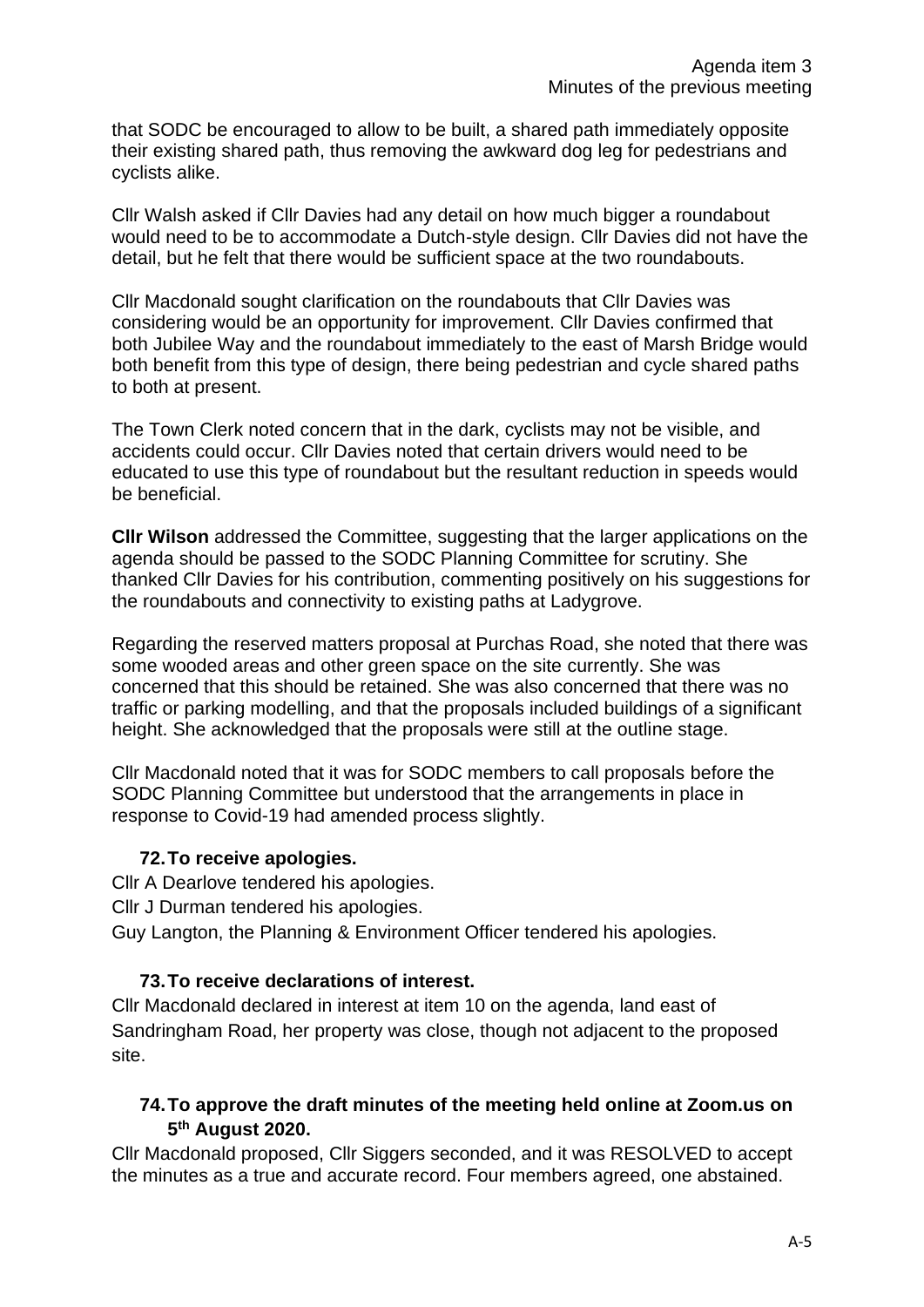that SODC be encouraged to allow to be built, a shared path immediately opposite their existing shared path, thus removing the awkward dog leg for pedestrians and cyclists alike.

Cllr Walsh asked if Cllr Davies had any detail on how much bigger a roundabout would need to be to accommodate a Dutch-style design. Cllr Davies did not have the detail, but he felt that there would be sufficient space at the two roundabouts.

Cllr Macdonald sought clarification on the roundabouts that Cllr Davies was considering would be an opportunity for improvement. Cllr Davies confirmed that both Jubilee Way and the roundabout immediately to the east of Marsh Bridge would both benefit from this type of design, there being pedestrian and cycle shared paths to both at present.

The Town Clerk noted concern that in the dark, cyclists may not be visible, and accidents could occur. Cllr Davies noted that certain drivers would need to be educated to use this type of roundabout but the resultant reduction in speeds would be beneficial.

**Cllr Wilson** addressed the Committee, suggesting that the larger applications on the agenda should be passed to the SODC Planning Committee for scrutiny. She thanked Cllr Davies for his contribution, commenting positively on his suggestions for the roundabouts and connectivity to existing paths at Ladygrove.

Regarding the reserved matters proposal at Purchas Road, she noted that there was some wooded areas and other green space on the site currently. She was concerned that this should be retained. She was also concerned that there was no traffic or parking modelling, and that the proposals included buildings of a significant height. She acknowledged that the proposals were still at the outline stage.

Cllr Macdonald noted that it was for SODC members to call proposals before the SODC Planning Committee but understood that the arrangements in place in response to Covid-19 had amended process slightly.

#### **72.To receive apologies.**

Cllr A Dearlove tendered his apologies.

Cllr J Durman tendered his apologies.

Guy Langton, the Planning & Environment Officer tendered his apologies.

#### **73.To receive declarations of interest.**

Cllr Macdonald declared in interest at item 10 on the agenda, land east of Sandringham Road, her property was close, though not adjacent to the proposed site.

#### **74.To approve the draft minutes of the meeting held online at Zoom.us on 5 th August 2020.**

Cllr Macdonald proposed, Cllr Siggers seconded, and it was RESOLVED to accept the minutes as a true and accurate record. Four members agreed, one abstained.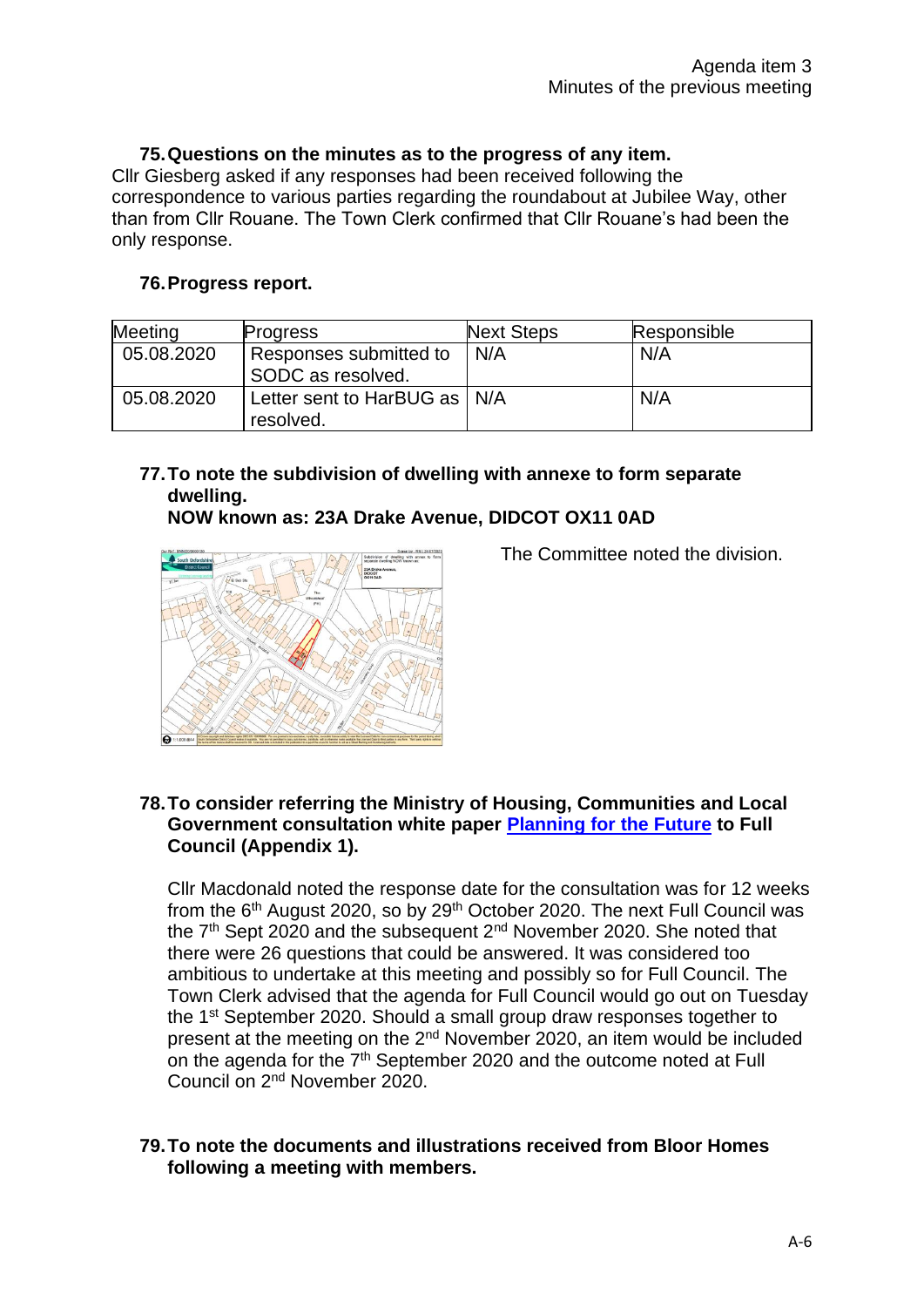#### **75.Questions on the minutes as to the progress of any item.**

Cllr Giesberg asked if any responses had been received following the correspondence to various parties regarding the roundabout at Jubilee Way, other than from Cllr Rouane. The Town Clerk confirmed that Cllr Rouane's had been the only response.

#### **76.Progress report.**

| Meeting    | <b>Progress</b>                             | <b>Next Steps</b> | Responsible |
|------------|---------------------------------------------|-------------------|-------------|
| 05.08.2020 | Responses submitted to<br>SODC as resolved. | N/A               | N/A         |
| 05.08.2020 | Letter sent to HarBUG as   N/A<br>resolved. |                   | N/A         |

# **77.To note the subdivision of dwelling with annexe to form separate dwelling.**

#### **NOW known as: 23A Drake Avenue, DIDCOT OX11 0AD**



The Committee noted the division.

#### **78.To consider referring the Ministry of Housing, Communities and Local Government consultation white paper [Planning for](https://www.gov.uk/government/consultations/planning-for-the-future) the Future to Full Council (Appendix 1).**

Cllr Macdonald noted the response date for the consultation was for 12 weeks from the  $6<sup>th</sup>$  August 2020, so by 29<sup>th</sup> October 2020. The next Full Council was the  $7<sup>th</sup>$  Sept 2020 and the subsequent  $2<sup>nd</sup>$  November 2020. She noted that there were 26 questions that could be answered. It was considered too ambitious to undertake at this meeting and possibly so for Full Council. The Town Clerk advised that the agenda for Full Council would go out on Tuesday the 1st September 2020. Should a small group draw responses together to present at the meeting on the 2nd November 2020, an item would be included on the agenda for the  $7<sup>th</sup>$  September 2020 and the outcome noted at Full Council on 2nd November 2020.

#### **79.To note the documents and illustrations received from Bloor Homes following a meeting with members.**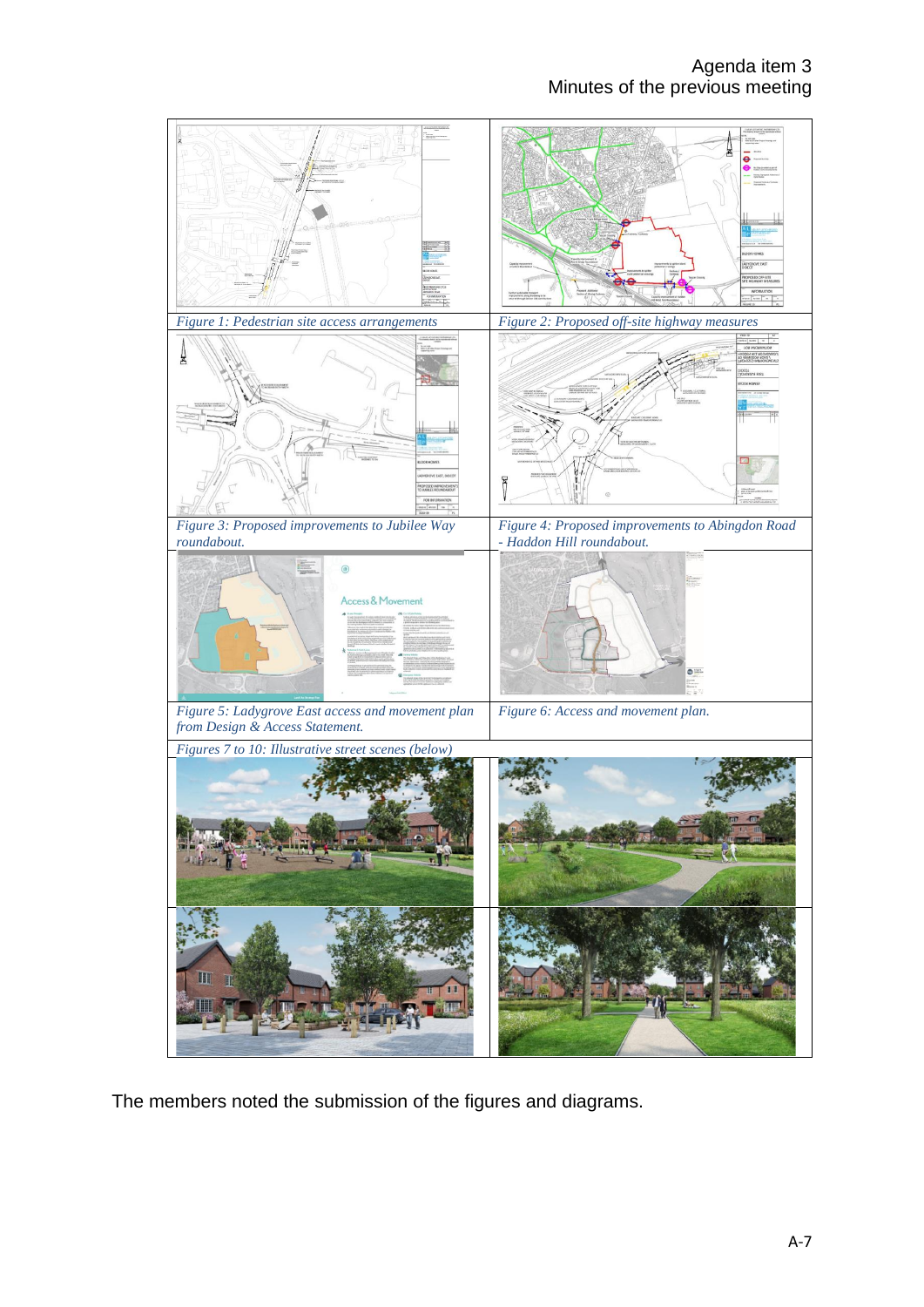

The members noted the submission of the figures and diagrams.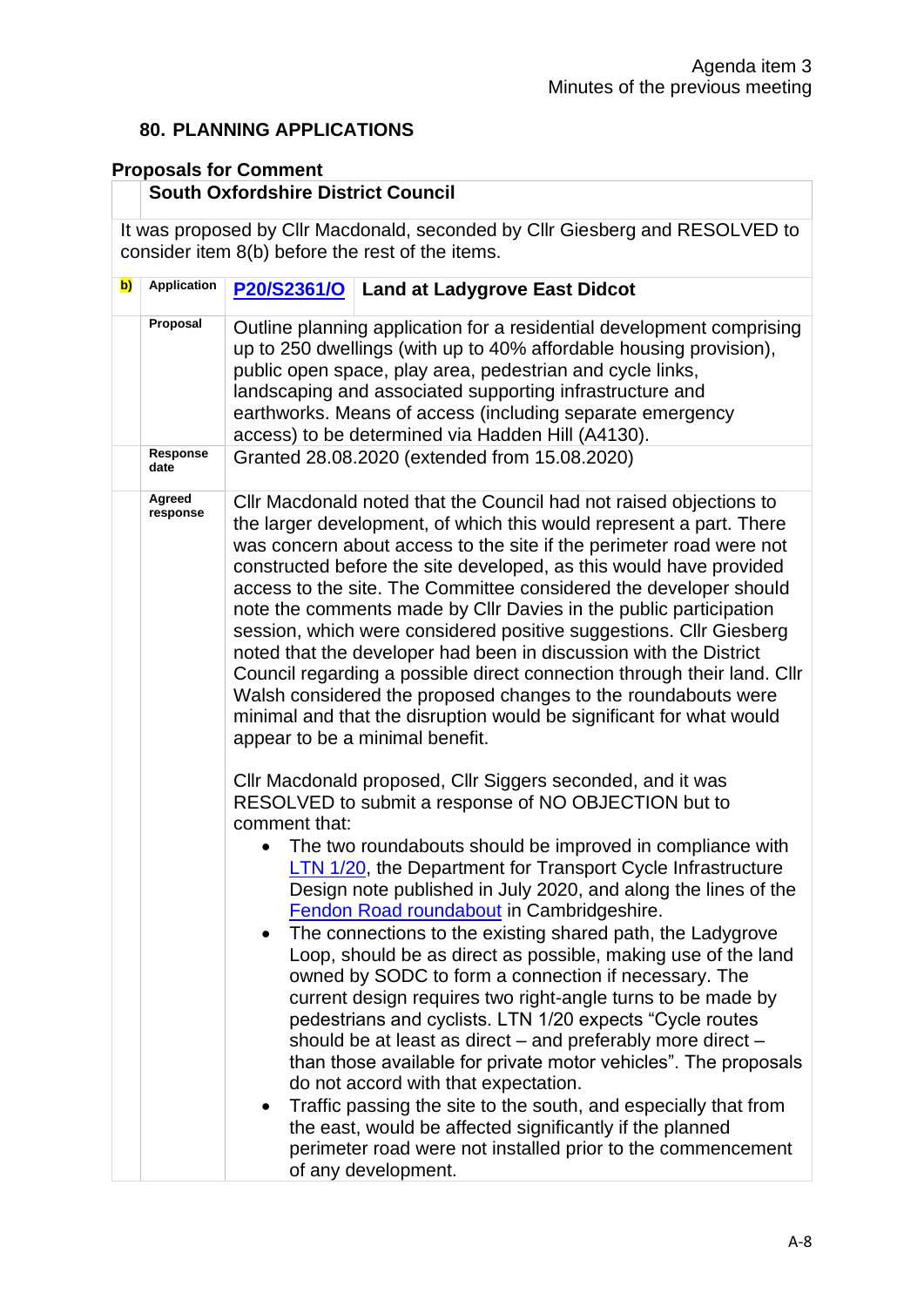#### **80. PLANNING APPLICATIONS**

#### **Proposals for Comment**

# **South Oxfordshire District Council**

It was proposed by Cllr Macdonald, seconded by Cllr Giesberg and RESOLVED to consider item 8(b) before the rest of the items.

| $\mathbf{b}$ | <b>Application</b> | P20/S2361/O<br><b>Land at Ladygrove East Didcot</b>                                                                                                                                                                                                                                                                                                                                                                                                                                                                                                                                                                                                                                                                                                                                                                                                                                                                                                                                                                                                                              |  |  |  |
|--------------|--------------------|----------------------------------------------------------------------------------------------------------------------------------------------------------------------------------------------------------------------------------------------------------------------------------------------------------------------------------------------------------------------------------------------------------------------------------------------------------------------------------------------------------------------------------------------------------------------------------------------------------------------------------------------------------------------------------------------------------------------------------------------------------------------------------------------------------------------------------------------------------------------------------------------------------------------------------------------------------------------------------------------------------------------------------------------------------------------------------|--|--|--|
|              | Proposal           | Outline planning application for a residential development comprising<br>up to 250 dwellings (with up to 40% affordable housing provision),<br>public open space, play area, pedestrian and cycle links,<br>landscaping and associated supporting infrastructure and<br>earthworks. Means of access (including separate emergency<br>access) to be determined via Hadden Hill (A4130).                                                                                                                                                                                                                                                                                                                                                                                                                                                                                                                                                                                                                                                                                           |  |  |  |
|              | Response<br>date   | Granted 28.08.2020 (extended from 15.08.2020)                                                                                                                                                                                                                                                                                                                                                                                                                                                                                                                                                                                                                                                                                                                                                                                                                                                                                                                                                                                                                                    |  |  |  |
|              | Agreed<br>response | CIIr Macdonald noted that the Council had not raised objections to<br>the larger development, of which this would represent a part. There<br>was concern about access to the site if the perimeter road were not<br>constructed before the site developed, as this would have provided<br>access to the site. The Committee considered the developer should<br>note the comments made by CIIr Davies in the public participation<br>session, which were considered positive suggestions. Cllr Giesberg<br>noted that the developer had been in discussion with the District<br>Council regarding a possible direct connection through their land. Cllr<br>Walsh considered the proposed changes to the roundabouts were<br>minimal and that the disruption would be significant for what would<br>appear to be a minimal benefit.                                                                                                                                                                                                                                                |  |  |  |
|              |                    | CIIr Macdonald proposed, CIIr Siggers seconded, and it was<br>RESOLVED to submit a response of NO OBJECTION but to<br>comment that:<br>The two roundabouts should be improved in compliance with<br><b>LTN 1/20</b> , the Department for Transport Cycle Infrastructure<br>Design note published in July 2020, and along the lines of the<br>Fendon Road roundabout in Cambridgeshire.<br>The connections to the existing shared path, the Ladygrove<br>Loop, should be as direct as possible, making use of the land<br>owned by SODC to form a connection if necessary. The<br>current design requires two right-angle turns to be made by<br>pedestrians and cyclists. LTN 1/20 expects "Cycle routes<br>should be at least as direct – and preferably more direct –<br>than those available for private motor vehicles". The proposals<br>do not accord with that expectation.<br>Traffic passing the site to the south, and especially that from<br>the east, would be affected significantly if the planned<br>perimeter road were not installed prior to the commencement |  |  |  |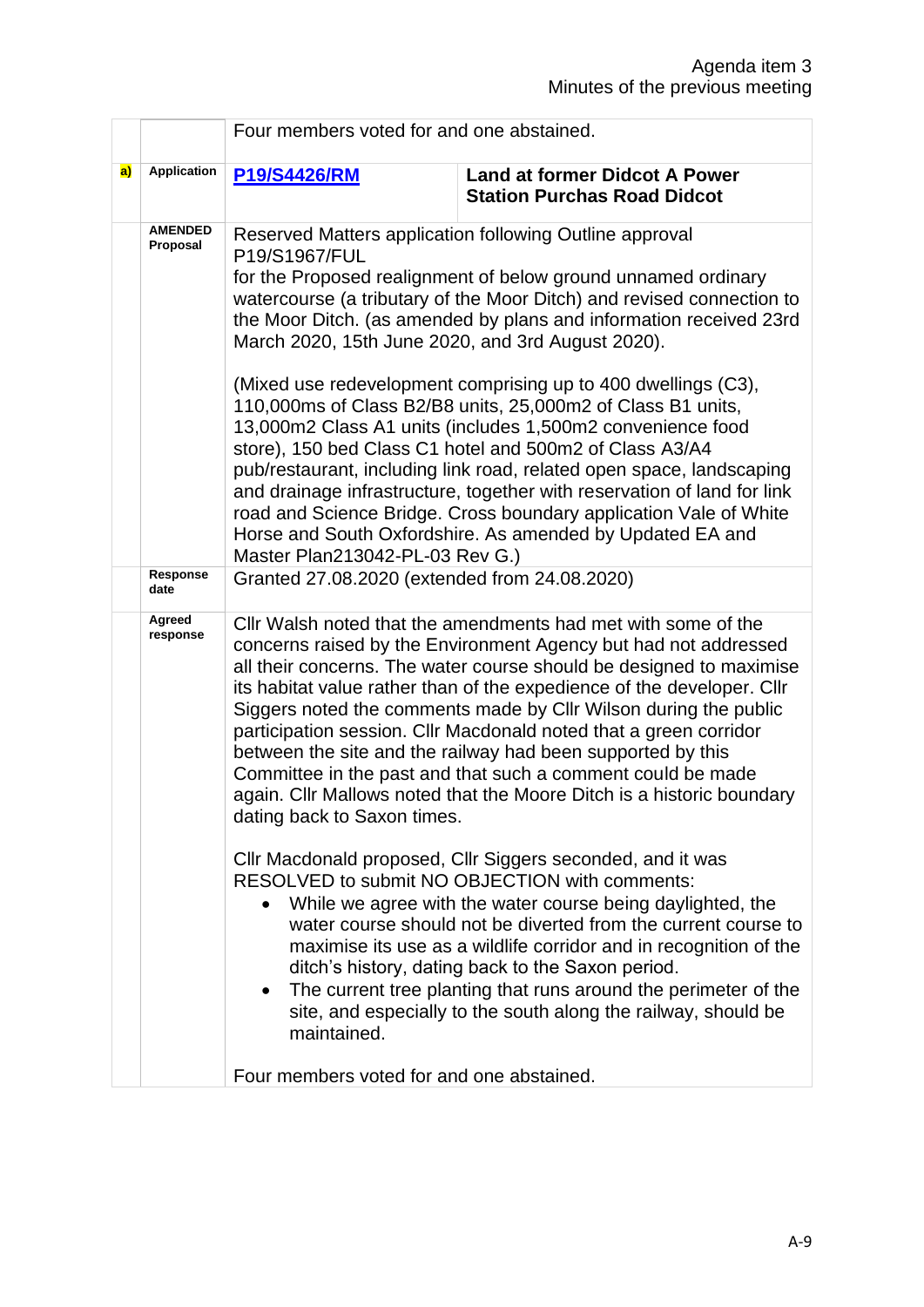|    |                            | Four members voted for and one abstained.                                                                                                                                                                                                                                                                                                                                                                                                                                                                                                                                                                                                                        |                                                                                                                                                                                                                                                                                                                                                                                                                                                                                                                                                                                                                                                                                                                                                                                                                                                                                                               |  |
|----|----------------------------|------------------------------------------------------------------------------------------------------------------------------------------------------------------------------------------------------------------------------------------------------------------------------------------------------------------------------------------------------------------------------------------------------------------------------------------------------------------------------------------------------------------------------------------------------------------------------------------------------------------------------------------------------------------|---------------------------------------------------------------------------------------------------------------------------------------------------------------------------------------------------------------------------------------------------------------------------------------------------------------------------------------------------------------------------------------------------------------------------------------------------------------------------------------------------------------------------------------------------------------------------------------------------------------------------------------------------------------------------------------------------------------------------------------------------------------------------------------------------------------------------------------------------------------------------------------------------------------|--|
| a) | <b>Application</b>         | <b>P19/S4426/RM</b>                                                                                                                                                                                                                                                                                                                                                                                                                                                                                                                                                                                                                                              | <b>Land at former Didcot A Power</b><br><b>Station Purchas Road Didcot</b>                                                                                                                                                                                                                                                                                                                                                                                                                                                                                                                                                                                                                                                                                                                                                                                                                                    |  |
|    | <b>AMENDED</b><br>Proposal | P19/S1967/FUL                                                                                                                                                                                                                                                                                                                                                                                                                                                                                                                                                                                                                                                    | Reserved Matters application following Outline approval<br>for the Proposed realignment of below ground unnamed ordinary<br>watercourse (a tributary of the Moor Ditch) and revised connection to<br>the Moor Ditch. (as amended by plans and information received 23rd<br>March 2020, 15th June 2020, and 3rd August 2020).<br>(Mixed use redevelopment comprising up to 400 dwellings (C3),<br>110,000ms of Class B2/B8 units, 25,000m2 of Class B1 units,<br>13,000m2 Class A1 units (includes 1,500m2 convenience food<br>store), 150 bed Class C1 hotel and 500m2 of Class A3/A4<br>pub/restaurant, including link road, related open space, landscaping<br>and drainage infrastructure, together with reservation of land for link<br>road and Science Bridge. Cross boundary application Vale of White<br>Horse and South Oxfordshire. As amended by Updated EA and<br>Master Plan213042-PL-03 Rev G.) |  |
|    | Response<br>date           | Granted 27.08.2020 (extended from 24.08.2020)                                                                                                                                                                                                                                                                                                                                                                                                                                                                                                                                                                                                                    |                                                                                                                                                                                                                                                                                                                                                                                                                                                                                                                                                                                                                                                                                                                                                                                                                                                                                                               |  |
|    | Agreed<br>response         | Cllr Walsh noted that the amendments had met with some of the<br>concerns raised by the Environment Agency but had not addressed<br>all their concerns. The water course should be designed to maximise<br>its habitat value rather than of the expedience of the developer. Cllr<br>Siggers noted the comments made by CIIr Wilson during the public<br>participation session. Cllr Macdonald noted that a green corridor<br>between the site and the railway had been supported by this<br>Committee in the past and that such a comment could be made<br>again. Cllr Mallows noted that the Moore Ditch is a historic boundary<br>dating back to Saxon times. |                                                                                                                                                                                                                                                                                                                                                                                                                                                                                                                                                                                                                                                                                                                                                                                                                                                                                                               |  |
|    |                            | Cllr Macdonald proposed, Cllr Siggers seconded, and it was<br>RESOLVED to submit NO OBJECTION with comments:<br>While we agree with the water course being daylighted, the<br>water course should not be diverted from the current course to<br>maximise its use as a wildlife corridor and in recognition of the<br>ditch's history, dating back to the Saxon period.<br>The current tree planting that runs around the perimeter of the<br>$\bullet$<br>site, and especially to the south along the railway, should be<br>maintained.                                                                                                                          |                                                                                                                                                                                                                                                                                                                                                                                                                                                                                                                                                                                                                                                                                                                                                                                                                                                                                                               |  |
|    |                            | Four members voted for and one abstained.                                                                                                                                                                                                                                                                                                                                                                                                                                                                                                                                                                                                                        |                                                                                                                                                                                                                                                                                                                                                                                                                                                                                                                                                                                                                                                                                                                                                                                                                                                                                                               |  |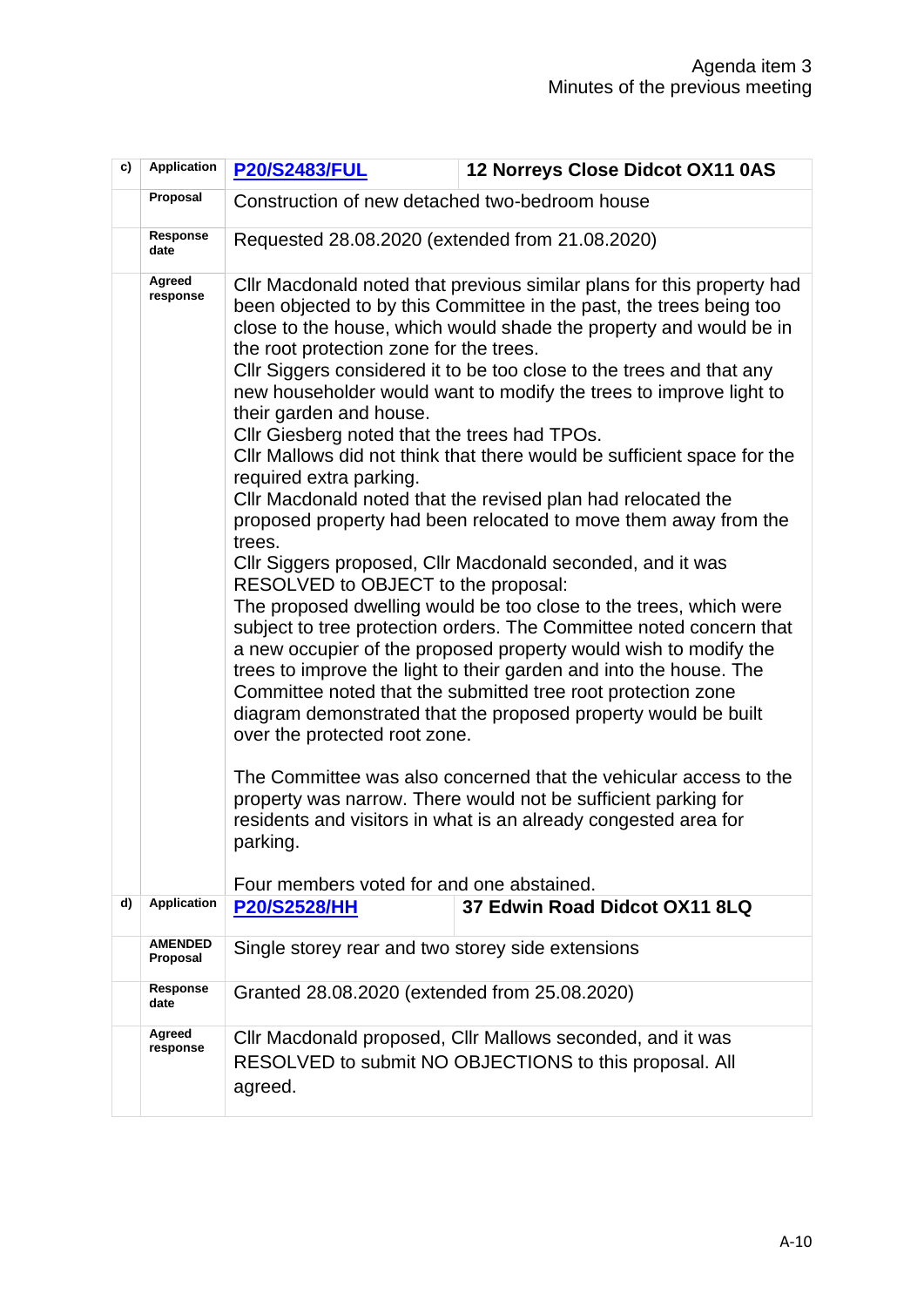| c) | <b>Application</b>         | <b>P20/S2483/FUL</b>                                                                                                                                                                                                                                                                     | 12 Norreys Close Didcot OX11 0AS                                                                                                                                                                                                                                                                                                                                                                                                                                                                                                                                                                                                                                                                                                                                                                                                                                                                                                                                                                                                                                                                                                                                                                                                                                                |  |
|----|----------------------------|------------------------------------------------------------------------------------------------------------------------------------------------------------------------------------------------------------------------------------------------------------------------------------------|---------------------------------------------------------------------------------------------------------------------------------------------------------------------------------------------------------------------------------------------------------------------------------------------------------------------------------------------------------------------------------------------------------------------------------------------------------------------------------------------------------------------------------------------------------------------------------------------------------------------------------------------------------------------------------------------------------------------------------------------------------------------------------------------------------------------------------------------------------------------------------------------------------------------------------------------------------------------------------------------------------------------------------------------------------------------------------------------------------------------------------------------------------------------------------------------------------------------------------------------------------------------------------|--|
|    | Proposal                   | Construction of new detached two-bedroom house                                                                                                                                                                                                                                           |                                                                                                                                                                                                                                                                                                                                                                                                                                                                                                                                                                                                                                                                                                                                                                                                                                                                                                                                                                                                                                                                                                                                                                                                                                                                                 |  |
|    | Response<br>date           | Requested 28.08.2020 (extended from 21.08.2020)                                                                                                                                                                                                                                          |                                                                                                                                                                                                                                                                                                                                                                                                                                                                                                                                                                                                                                                                                                                                                                                                                                                                                                                                                                                                                                                                                                                                                                                                                                                                                 |  |
|    | Agreed<br>response         | the root protection zone for the trees.<br>their garden and house.<br>Cllr Giesberg noted that the trees had TPOs.<br>required extra parking.<br>trees.<br>RESOLVED to OBJECT to the proposal:<br>over the protected root zone.<br>parking.<br>Four members voted for and one abstained. | CIIr Macdonald noted that previous similar plans for this property had<br>been objected to by this Committee in the past, the trees being too<br>close to the house, which would shade the property and would be in<br>CIIr Siggers considered it to be too close to the trees and that any<br>new householder would want to modify the trees to improve light to<br>CIIr Mallows did not think that there would be sufficient space for the<br>Cllr Macdonald noted that the revised plan had relocated the<br>proposed property had been relocated to move them away from the<br>Cllr Siggers proposed, Cllr Macdonald seconded, and it was<br>The proposed dwelling would be too close to the trees, which were<br>subject to tree protection orders. The Committee noted concern that<br>a new occupier of the proposed property would wish to modify the<br>trees to improve the light to their garden and into the house. The<br>Committee noted that the submitted tree root protection zone<br>diagram demonstrated that the proposed property would be built<br>The Committee was also concerned that the vehicular access to the<br>property was narrow. There would not be sufficient parking for<br>residents and visitors in what is an already congested area for |  |
| d) | <b>Application</b>         | <b>P20/S2528/HH</b>                                                                                                                                                                                                                                                                      | 37 Edwin Road Didcot OX11 8LQ                                                                                                                                                                                                                                                                                                                                                                                                                                                                                                                                                                                                                                                                                                                                                                                                                                                                                                                                                                                                                                                                                                                                                                                                                                                   |  |
|    | <b>AMENDED</b><br>Proposal | Single storey rear and two storey side extensions                                                                                                                                                                                                                                        |                                                                                                                                                                                                                                                                                                                                                                                                                                                                                                                                                                                                                                                                                                                                                                                                                                                                                                                                                                                                                                                                                                                                                                                                                                                                                 |  |
|    | Response<br>date           | Granted 28.08.2020 (extended from 25.08.2020)                                                                                                                                                                                                                                            |                                                                                                                                                                                                                                                                                                                                                                                                                                                                                                                                                                                                                                                                                                                                                                                                                                                                                                                                                                                                                                                                                                                                                                                                                                                                                 |  |
|    | Agreed<br>response         | Cllr Macdonald proposed, Cllr Mallows seconded, and it was<br>RESOLVED to submit NO OBJECTIONS to this proposal. All<br>agreed.                                                                                                                                                          |                                                                                                                                                                                                                                                                                                                                                                                                                                                                                                                                                                                                                                                                                                                                                                                                                                                                                                                                                                                                                                                                                                                                                                                                                                                                                 |  |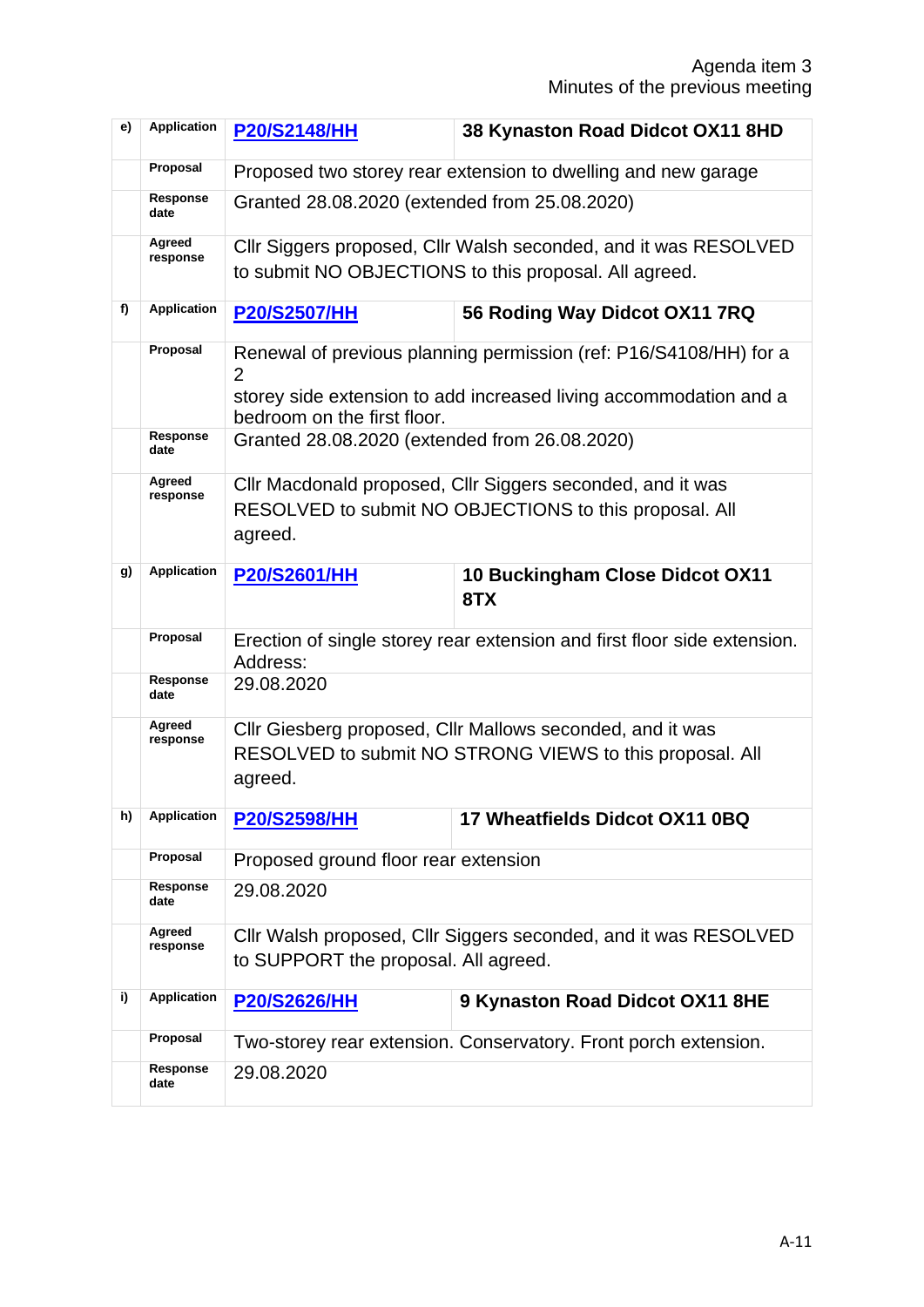| e) | <b>Application</b> | <b>P20/S2148/HH</b>                                                                                                             | 38 Kynaston Road Didcot OX11 8HD                                                                                         |  |  |
|----|--------------------|---------------------------------------------------------------------------------------------------------------------------------|--------------------------------------------------------------------------------------------------------------------------|--|--|
|    | Proposal           | Proposed two storey rear extension to dwelling and new garage                                                                   |                                                                                                                          |  |  |
|    | Response<br>date   | Granted 28.08.2020 (extended from 25.08.2020)                                                                                   |                                                                                                                          |  |  |
|    | Agreed<br>response |                                                                                                                                 | Cllr Siggers proposed, Cllr Walsh seconded, and it was RESOLVED<br>to submit NO OBJECTIONS to this proposal. All agreed. |  |  |
| f) | <b>Application</b> | <b>P20/S2507/HH</b>                                                                                                             | 56 Roding Way Didcot OX11 7RQ                                                                                            |  |  |
|    | Proposal           | Renewal of previous planning permission (ref: P16/S4108/HH) for a<br>$\overline{2}$                                             |                                                                                                                          |  |  |
|    |                    | bedroom on the first floor.                                                                                                     | storey side extension to add increased living accommodation and a                                                        |  |  |
|    | Response<br>date   | Granted 28.08.2020 (extended from 26.08.2020)                                                                                   |                                                                                                                          |  |  |
|    | Agreed<br>response | CIIr Macdonald proposed, CIIr Siggers seconded, and it was<br>RESOLVED to submit NO OBJECTIONS to this proposal. All<br>agreed. |                                                                                                                          |  |  |
| g) | <b>Application</b> | <b>P20/S2601/HH</b>                                                                                                             | 10 Buckingham Close Didcot OX11<br>8TX                                                                                   |  |  |
|    | Proposal           | Erection of single storey rear extension and first floor side extension.<br>Address:                                            |                                                                                                                          |  |  |
|    | Response<br>date   | 29.08.2020                                                                                                                      |                                                                                                                          |  |  |
|    | Agreed<br>response | agreed.                                                                                                                         | CIIr Giesberg proposed, CIIr Mallows seconded, and it was<br>RESOLVED to submit NO STRONG VIEWS to this proposal. All    |  |  |
|    | h) Application     | <b>P20/S2598/HH</b>                                                                                                             | 17 Wheatfields Didcot OX11 0BQ                                                                                           |  |  |
|    | Proposal           | Proposed ground floor rear extension                                                                                            |                                                                                                                          |  |  |
|    | Response<br>date   | 29.08.2020                                                                                                                      |                                                                                                                          |  |  |
|    | Agreed<br>response | to SUPPORT the proposal. All agreed.                                                                                            | Cllr Walsh proposed, Cllr Siggers seconded, and it was RESOLVED                                                          |  |  |
| i) | <b>Application</b> | <b>P20/S2626/HH</b>                                                                                                             | 9 Kynaston Road Didcot OX11 8HE                                                                                          |  |  |
|    | Proposal           |                                                                                                                                 | Two-storey rear extension. Conservatory. Front porch extension.                                                          |  |  |
|    | Response<br>date   | 29.08.2020                                                                                                                      |                                                                                                                          |  |  |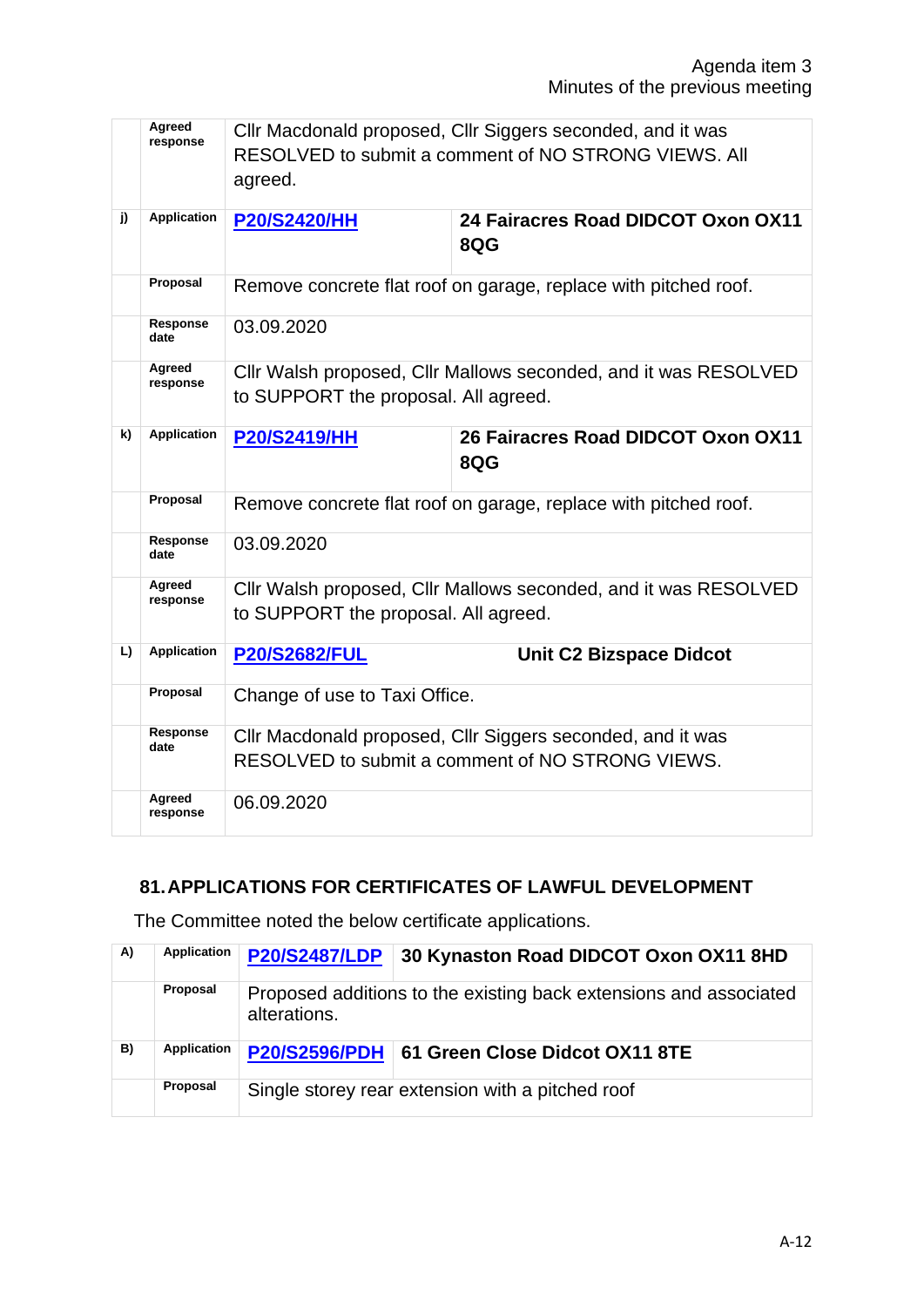|    | Agreed<br>response | CIIr Macdonald proposed, CIIr Siggers seconded, and it was<br>RESOLVED to submit a comment of NO STRONG VIEWS. All<br>agreed. |                                                                                                         |  |  |
|----|--------------------|-------------------------------------------------------------------------------------------------------------------------------|---------------------------------------------------------------------------------------------------------|--|--|
| j) | <b>Application</b> | <b>P20/S2420/HH</b>                                                                                                           | 24 Fairacres Road DIDCOT Oxon OX11<br>8QG                                                               |  |  |
|    | Proposal           | Remove concrete flat roof on garage, replace with pitched roof.                                                               |                                                                                                         |  |  |
|    | Response<br>date   | 03.09.2020                                                                                                                    |                                                                                                         |  |  |
|    | Agreed<br>response |                                                                                                                               | Cllr Walsh proposed, Cllr Mallows seconded, and it was RESOLVED<br>to SUPPORT the proposal. All agreed. |  |  |
| k) | <b>Application</b> | <b>P20/S2419/HH</b>                                                                                                           | 26 Fairacres Road DIDCOT Oxon OX11<br>8QG                                                               |  |  |
|    | Proposal           | Remove concrete flat roof on garage, replace with pitched roof.                                                               |                                                                                                         |  |  |
|    | Response<br>date   | 03.09.2020                                                                                                                    |                                                                                                         |  |  |
|    | Agreed<br>response | Cllr Walsh proposed, Cllr Mallows seconded, and it was RESOLVED<br>to SUPPORT the proposal. All agreed.                       |                                                                                                         |  |  |
| L) | <b>Application</b> | <b>P20/S2682/FUL</b>                                                                                                          | <b>Unit C2 Bizspace Didcot</b>                                                                          |  |  |
|    | Proposal           | Change of use to Taxi Office.                                                                                                 |                                                                                                         |  |  |
|    | Response<br>date   | CIIr Macdonald proposed, CIIr Siggers seconded, and it was<br>RESOLVED to submit a comment of NO STRONG VIEWS.                |                                                                                                         |  |  |
|    | Agreed<br>response | 06.09.2020                                                                                                                    |                                                                                                         |  |  |

#### **81.APPLICATIONS FOR CERTIFICATES OF LAWFUL DEVELOPMENT**

The Committee noted the below certificate applications.

| A) | Application | <b>P20/S2487/LDP</b>                                                              | 30 Kynaston Road DIDCOT Oxon OX11 8HD        |  |
|----|-------------|-----------------------------------------------------------------------------------|----------------------------------------------|--|
|    | Proposal    | Proposed additions to the existing back extensions and associated<br>alterations. |                                              |  |
| B) | Application |                                                                                   | P20/S2596/PDH 61 Green Close Didcot OX11 8TE |  |
|    | Proposal    | Single storey rear extension with a pitched roof                                  |                                              |  |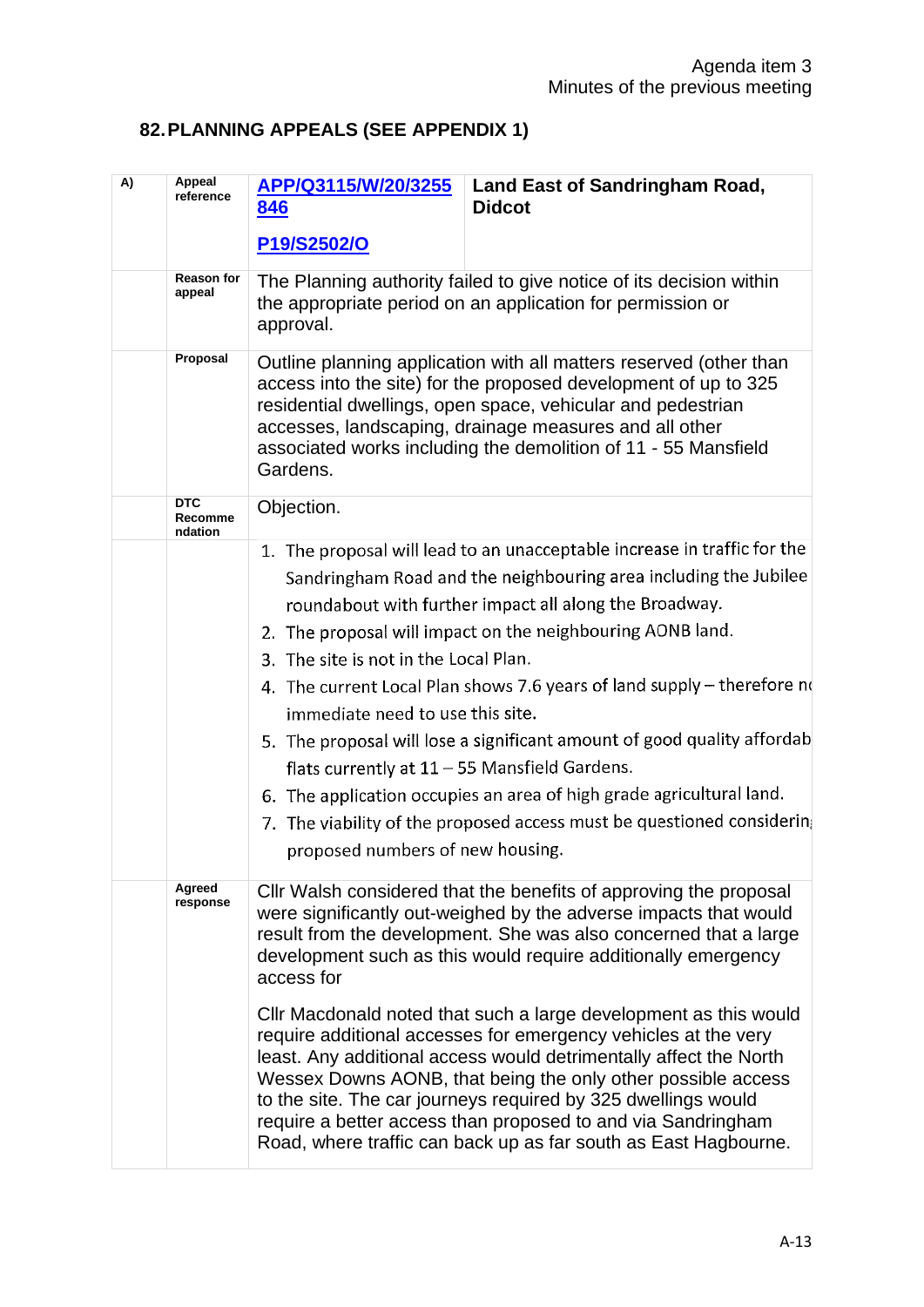# **82.PLANNING APPEALS (SEE APPENDIX 1)**

| A) | <b>Appeal</b><br>reference       | APP/Q3115/W/20/3255<br>846                                                                                                                                                                                                                                                                                                                                                                                                                                                                                                                                                                                                                                                                                                                                              | <b>Land East of Sandringham Road,</b><br><b>Didcot</b>                                                                                                                                                                                                                                                                                                                                                                                                                                                                                                                                                                                                                                                                                          |  |
|----|----------------------------------|-------------------------------------------------------------------------------------------------------------------------------------------------------------------------------------------------------------------------------------------------------------------------------------------------------------------------------------------------------------------------------------------------------------------------------------------------------------------------------------------------------------------------------------------------------------------------------------------------------------------------------------------------------------------------------------------------------------------------------------------------------------------------|-------------------------------------------------------------------------------------------------------------------------------------------------------------------------------------------------------------------------------------------------------------------------------------------------------------------------------------------------------------------------------------------------------------------------------------------------------------------------------------------------------------------------------------------------------------------------------------------------------------------------------------------------------------------------------------------------------------------------------------------------|--|
|    |                                  | P19/S2502/O                                                                                                                                                                                                                                                                                                                                                                                                                                                                                                                                                                                                                                                                                                                                                             |                                                                                                                                                                                                                                                                                                                                                                                                                                                                                                                                                                                                                                                                                                                                                 |  |
|    | <b>Reason for</b><br>appeal      | approval.                                                                                                                                                                                                                                                                                                                                                                                                                                                                                                                                                                                                                                                                                                                                                               | The Planning authority failed to give notice of its decision within<br>the appropriate period on an application for permission or                                                                                                                                                                                                                                                                                                                                                                                                                                                                                                                                                                                                               |  |
|    | Proposal                         | Outline planning application with all matters reserved (other than<br>access into the site) for the proposed development of up to 325<br>residential dwellings, open space, vehicular and pedestrian<br>accesses, landscaping, drainage measures and all other<br>associated works including the demolition of 11 - 55 Mansfield<br>Gardens.                                                                                                                                                                                                                                                                                                                                                                                                                            |                                                                                                                                                                                                                                                                                                                                                                                                                                                                                                                                                                                                                                                                                                                                                 |  |
|    | <b>DTC</b><br>Recomme<br>ndation | Objection.                                                                                                                                                                                                                                                                                                                                                                                                                                                                                                                                                                                                                                                                                                                                                              |                                                                                                                                                                                                                                                                                                                                                                                                                                                                                                                                                                                                                                                                                                                                                 |  |
|    |                                  |                                                                                                                                                                                                                                                                                                                                                                                                                                                                                                                                                                                                                                                                                                                                                                         | 1. The proposal will lead to an unacceptable increase in traffic for the<br>Sandringham Road and the neighbouring area including the Jubilee<br>roundabout with further impact all along the Broadway.<br>2. The proposal will impact on the neighbouring AONB land.<br>3. The site is not in the Local Plan.<br>4. The current Local Plan shows 7.6 years of land supply - therefore no<br>immediate need to use this site.<br>5. The proposal will lose a significant amount of good quality affordab<br>flats currently at $11 - 55$ Mansfield Gardens.<br>6. The application occupies an area of high grade agricultural land.<br>7. The viability of the proposed access must be questioned considerin<br>proposed numbers of new housing. |  |
|    | Agreed<br>response               | Cllr Walsh considered that the benefits of approving the proposal<br>were significantly out-weighed by the adverse impacts that would<br>result from the development. She was also concerned that a large<br>development such as this would require additionally emergency<br>access for<br>Cllr Macdonald noted that such a large development as this would<br>require additional accesses for emergency vehicles at the very<br>least. Any additional access would detrimentally affect the North<br>Wessex Downs AONB, that being the only other possible access<br>to the site. The car journeys required by 325 dwellings would<br>require a better access than proposed to and via Sandringham<br>Road, where traffic can back up as far south as East Hagbourne. |                                                                                                                                                                                                                                                                                                                                                                                                                                                                                                                                                                                                                                                                                                                                                 |  |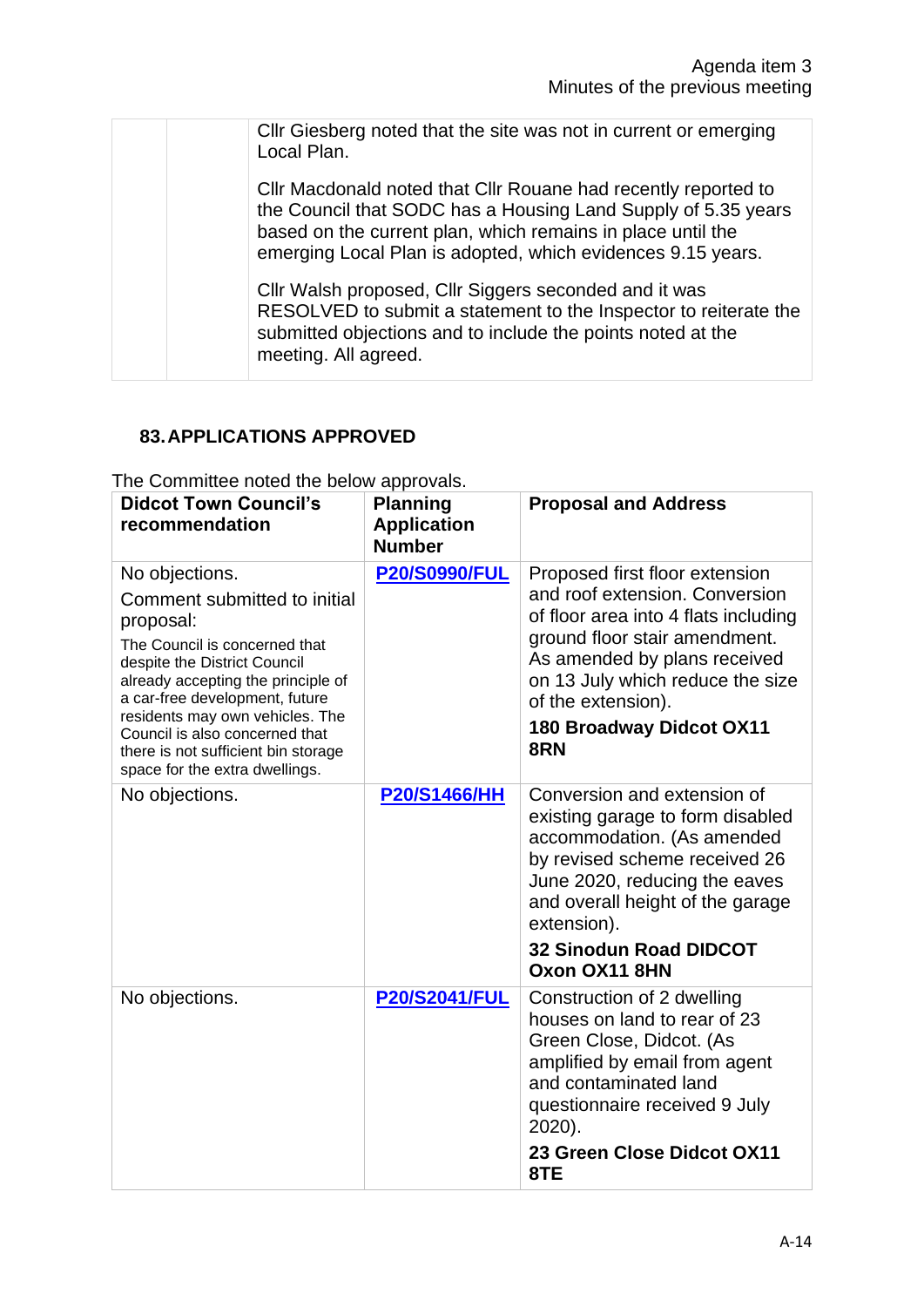|  | Cllr Giesberg noted that the site was not in current or emerging<br>Local Plan.                                                                                                                                                                               |
|--|---------------------------------------------------------------------------------------------------------------------------------------------------------------------------------------------------------------------------------------------------------------|
|  | Cllr Macdonald noted that Cllr Rouane had recently reported to<br>the Council that SODC has a Housing Land Supply of 5.35 years<br>based on the current plan, which remains in place until the<br>emerging Local Plan is adopted, which evidences 9.15 years. |
|  | Cllr Walsh proposed, Cllr Siggers seconded and it was<br>RESOLVED to submit a statement to the Inspector to reiterate the<br>submitted objections and to include the points noted at the<br>meeting. All agreed.                                              |

# **83.APPLICATIONS APPROVED**

| The Committee noted the below approvals. |  |  |  |
|------------------------------------------|--|--|--|
|                                          |  |  |  |

| <b>Didcot Town Council's</b><br>recommendation                                                                                                                                                                                                                                                                                                     | <b>Planning</b><br><b>Application</b><br><b>Number</b> | <b>Proposal and Address</b>                                                                                                                                                                                                                                                   |
|----------------------------------------------------------------------------------------------------------------------------------------------------------------------------------------------------------------------------------------------------------------------------------------------------------------------------------------------------|--------------------------------------------------------|-------------------------------------------------------------------------------------------------------------------------------------------------------------------------------------------------------------------------------------------------------------------------------|
| No objections.<br>Comment submitted to initial<br>proposal:<br>The Council is concerned that<br>despite the District Council<br>already accepting the principle of<br>a car-free development, future<br>residents may own vehicles. The<br>Council is also concerned that<br>there is not sufficient bin storage<br>space for the extra dwellings. | <b>P20/S0990/FUL</b>                                   | Proposed first floor extension<br>and roof extension. Conversion<br>of floor area into 4 flats including<br>ground floor stair amendment.<br>As amended by plans received<br>on 13 July which reduce the size<br>of the extension).<br><b>180 Broadway Didcot OX11</b><br>8RN |
| No objections.                                                                                                                                                                                                                                                                                                                                     | <b>P20/S1466/HH</b>                                    | Conversion and extension of<br>existing garage to form disabled<br>accommodation. (As amended<br>by revised scheme received 26<br>June 2020, reducing the eaves<br>and overall height of the garage<br>extension).<br><b>32 Sinodun Road DIDCOT</b><br>Oxon OX11 8HN          |
| No objections.                                                                                                                                                                                                                                                                                                                                     | <b>P20/S2041/FUL</b>                                   | Construction of 2 dwelling<br>houses on land to rear of 23<br>Green Close, Didcot. (As<br>amplified by email from agent<br>and contaminated land<br>questionnaire received 9 July<br>2020).<br>23 Green Close Didcot OX11<br>8TE                                              |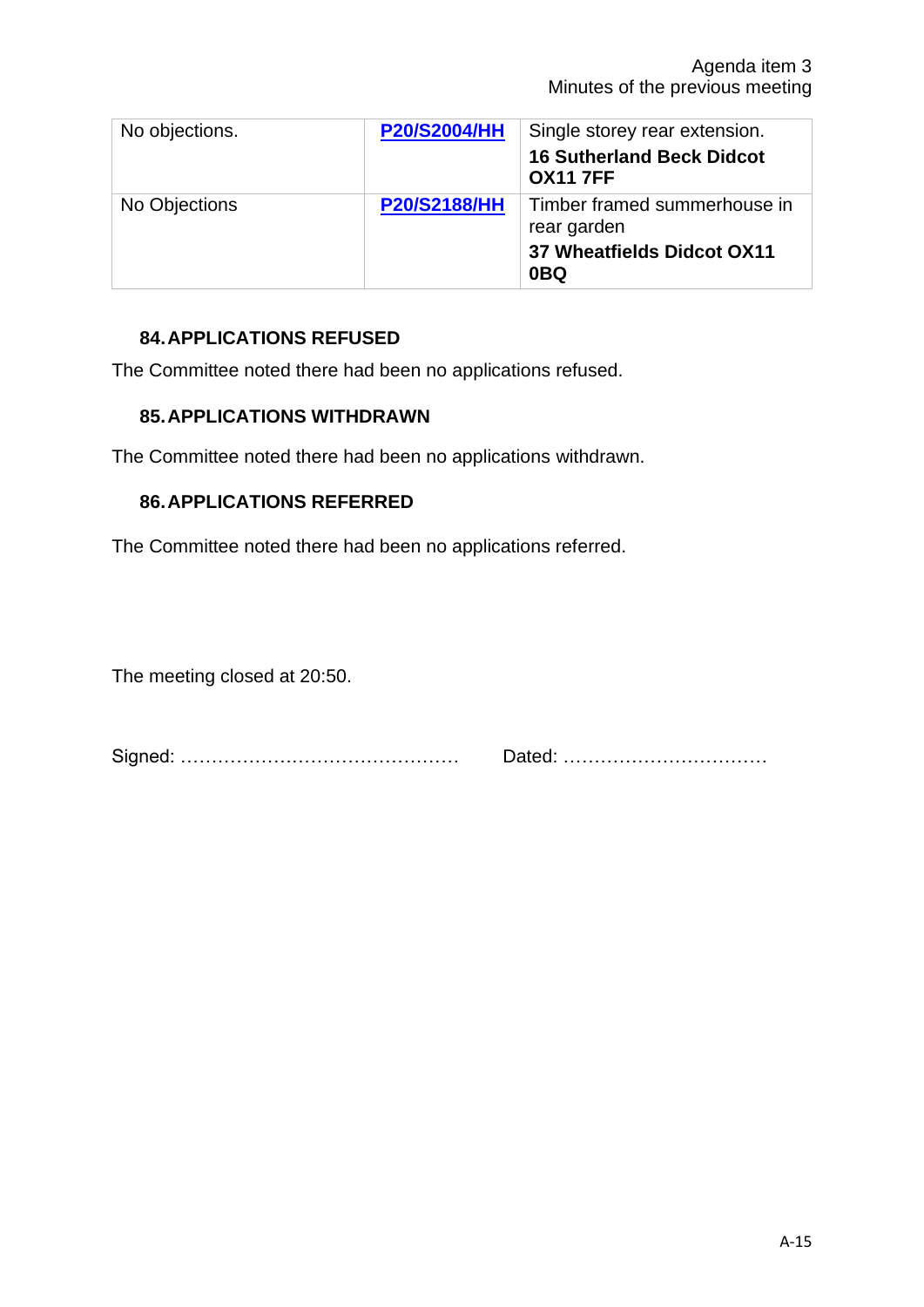| No objections. | <b>P20/S2004/HH</b> | Single storey rear extension.<br><b>16 Sutherland Beck Didcot</b><br><b>OX11 7FF</b>         |
|----------------|---------------------|----------------------------------------------------------------------------------------------|
| No Objections  | <b>P20/S2188/HH</b> | Timber framed summerhouse in<br>rear garden<br>37 Wheatfields Didcot OX11<br>0 <sub>BQ</sub> |

# **84.APPLICATIONS REFUSED**

The Committee noted there had been no applications refused.

#### **85.APPLICATIONS WITHDRAWN**

The Committee noted there had been no applications withdrawn.

# **86.APPLICATIONS REFERRED**

The Committee noted there had been no applications referred.

The meeting closed at 20:50.

Signed: ……………………………………… Dated: ……………………………

A-15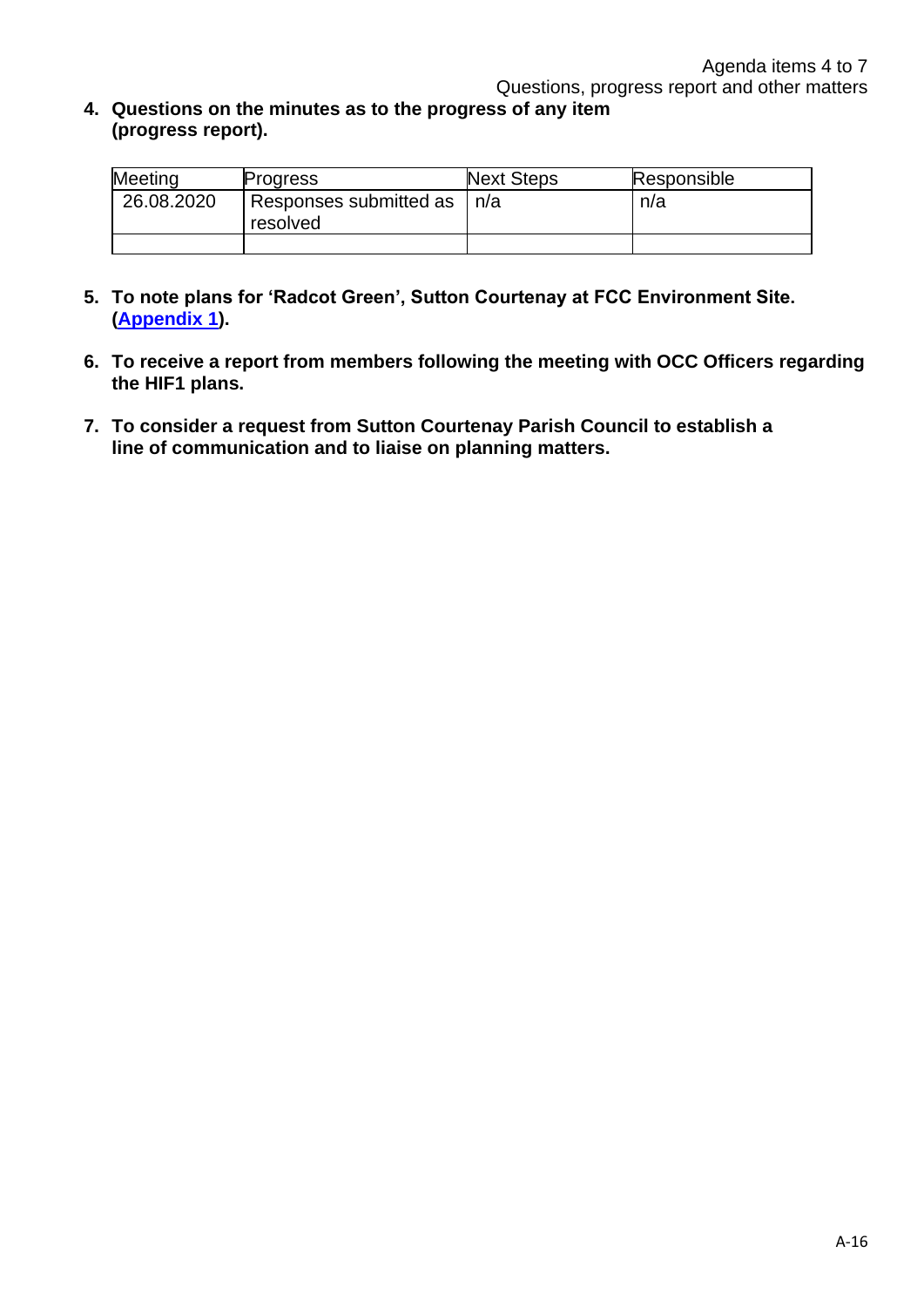**4. Questions on the minutes as to the progress of any item (progress report).**

| Meeting    | Progress                           | <b>Next Steps</b> | Responsible |
|------------|------------------------------------|-------------------|-------------|
| 26.08.2020 | Responses submitted as<br>resolved | n/a               | n/a         |
|            |                                    |                   |             |

- **5. To note plans for 'Radcot Green', Sutton Courtenay at FCC Environment Site. [\(Appendix 1\)](https://www.didcot.gov.uk/uploads/20200916-app1-fcc11767-radcot-briefing-note-cv6.pdf).**
- **6. To receive a report from members following the meeting with OCC Officers regarding the HIF1 plans.**
- **7. To consider a request from Sutton Courtenay Parish Council to establish a line of communication and to liaise on planning matters.**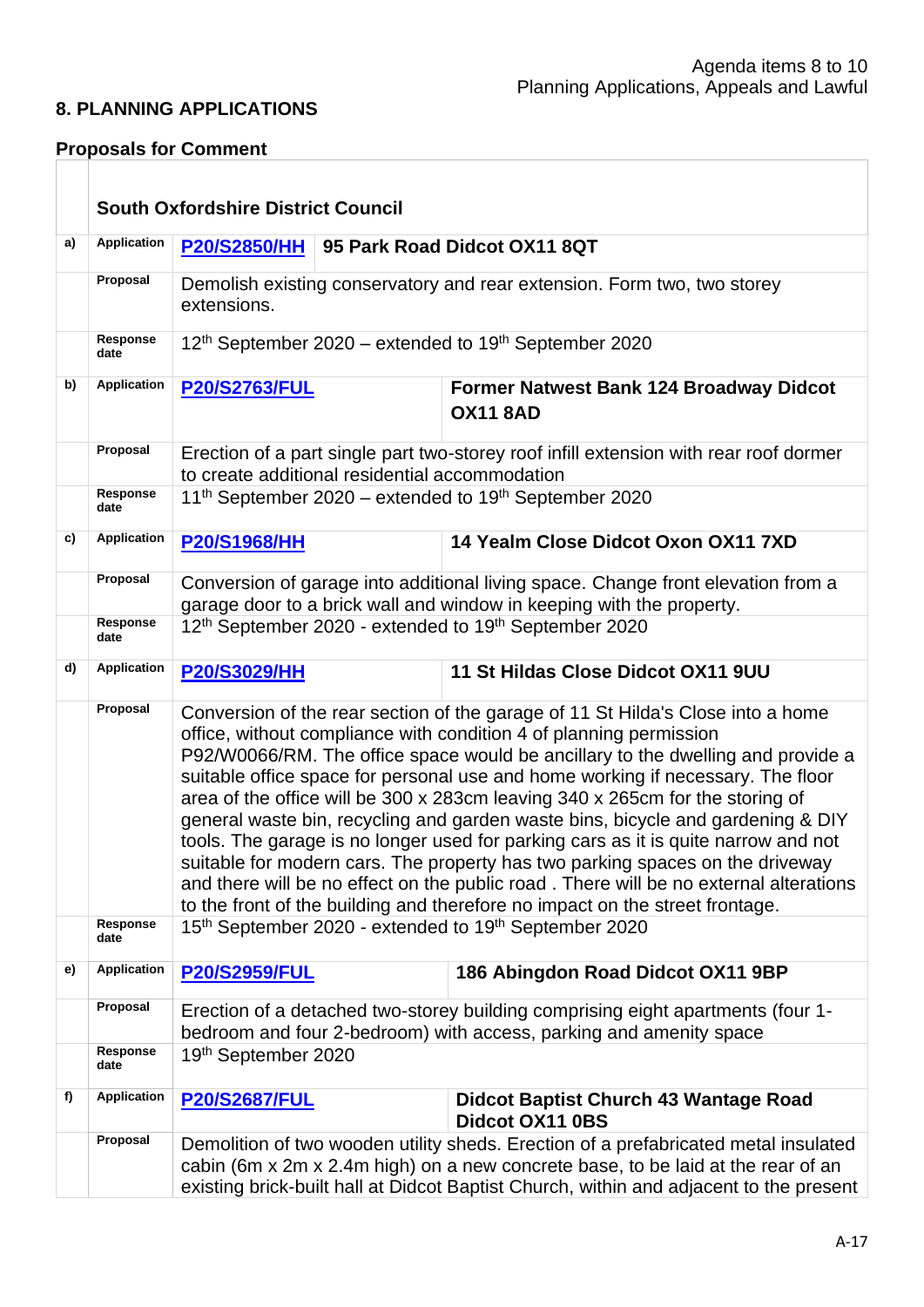## **8. PLANNING APPLICATIONS**

## **Proposals for Comment**

|    |                    | <b>South Oxfordshire District Council</b>                                                                                                                                                                                                                         |                                                                                                                                                                                                                                                                                                                                                                                                                                                                                                                                                                                                                                                                                                                                                                                                                                                 |                                                                                                                                                          |  |
|----|--------------------|-------------------------------------------------------------------------------------------------------------------------------------------------------------------------------------------------------------------------------------------------------------------|-------------------------------------------------------------------------------------------------------------------------------------------------------------------------------------------------------------------------------------------------------------------------------------------------------------------------------------------------------------------------------------------------------------------------------------------------------------------------------------------------------------------------------------------------------------------------------------------------------------------------------------------------------------------------------------------------------------------------------------------------------------------------------------------------------------------------------------------------|----------------------------------------------------------------------------------------------------------------------------------------------------------|--|
| a) | <b>Application</b> | <b>P20/S2850/HH</b>                                                                                                                                                                                                                                               | 95 Park Road Didcot OX11 8QT                                                                                                                                                                                                                                                                                                                                                                                                                                                                                                                                                                                                                                                                                                                                                                                                                    |                                                                                                                                                          |  |
|    | Proposal           | extensions.                                                                                                                                                                                                                                                       | Demolish existing conservatory and rear extension. Form two, two storey                                                                                                                                                                                                                                                                                                                                                                                                                                                                                                                                                                                                                                                                                                                                                                         |                                                                                                                                                          |  |
|    | Response<br>date   |                                                                                                                                                                                                                                                                   |                                                                                                                                                                                                                                                                                                                                                                                                                                                                                                                                                                                                                                                                                                                                                                                                                                                 | 12 <sup>th</sup> September 2020 – extended to 19 <sup>th</sup> September 2020                                                                            |  |
| b) | <b>Application</b> | <b>P20/S2763/FUL</b>                                                                                                                                                                                                                                              |                                                                                                                                                                                                                                                                                                                                                                                                                                                                                                                                                                                                                                                                                                                                                                                                                                                 | <b>Former Natwest Bank 124 Broadway Didcot</b><br><b>OX11 8AD</b>                                                                                        |  |
|    | Proposal           | to create additional residential accommodation                                                                                                                                                                                                                    |                                                                                                                                                                                                                                                                                                                                                                                                                                                                                                                                                                                                                                                                                                                                                                                                                                                 | Erection of a part single part two-storey roof infill extension with rear roof dormer                                                                    |  |
|    | Response<br>date   |                                                                                                                                                                                                                                                                   |                                                                                                                                                                                                                                                                                                                                                                                                                                                                                                                                                                                                                                                                                                                                                                                                                                                 | 11 <sup>th</sup> September 2020 – extended to 19 <sup>th</sup> September 2020                                                                            |  |
| c) | <b>Application</b> | <b>P20/S1968/HH</b>                                                                                                                                                                                                                                               |                                                                                                                                                                                                                                                                                                                                                                                                                                                                                                                                                                                                                                                                                                                                                                                                                                                 | 14 Yealm Close Didcot Oxon OX11 7XD                                                                                                                      |  |
|    | Proposal           |                                                                                                                                                                                                                                                                   |                                                                                                                                                                                                                                                                                                                                                                                                                                                                                                                                                                                                                                                                                                                                                                                                                                                 | Conversion of garage into additional living space. Change front elevation from a<br>garage door to a brick wall and window in keeping with the property. |  |
|    | Response<br>date   |                                                                                                                                                                                                                                                                   |                                                                                                                                                                                                                                                                                                                                                                                                                                                                                                                                                                                                                                                                                                                                                                                                                                                 | 12 <sup>th</sup> September 2020 - extended to 19 <sup>th</sup> September 2020                                                                            |  |
| d) | Application        | <b>P20/S3029/HH</b>                                                                                                                                                                                                                                               | 11 St Hildas Close Didcot OX11 9UU                                                                                                                                                                                                                                                                                                                                                                                                                                                                                                                                                                                                                                                                                                                                                                                                              |                                                                                                                                                          |  |
|    | Proposal           |                                                                                                                                                                                                                                                                   | Conversion of the rear section of the garage of 11 St Hilda's Close into a home<br>office, without compliance with condition 4 of planning permission<br>P92/W0066/RM. The office space would be ancillary to the dwelling and provide a<br>suitable office space for personal use and home working if necessary. The floor<br>area of the office will be 300 x 283cm leaving 340 x 265cm for the storing of<br>general waste bin, recycling and garden waste bins, bicycle and gardening & DIY<br>tools. The garage is no longer used for parking cars as it is quite narrow and not<br>suitable for modern cars. The property has two parking spaces on the driveway<br>and there will be no effect on the public road. There will be no external alterations<br>to the front of the building and therefore no impact on the street frontage. |                                                                                                                                                          |  |
|    | Response<br>date   |                                                                                                                                                                                                                                                                   | 15 <sup>th</sup> September 2020 - extended to 19 <sup>th</sup> September 2020                                                                                                                                                                                                                                                                                                                                                                                                                                                                                                                                                                                                                                                                                                                                                                   |                                                                                                                                                          |  |
| e) | <b>Application</b> | <b>P20/S2959/FUL</b>                                                                                                                                                                                                                                              |                                                                                                                                                                                                                                                                                                                                                                                                                                                                                                                                                                                                                                                                                                                                                                                                                                                 | 186 Abingdon Road Didcot OX11 9BP                                                                                                                        |  |
|    | Proposal           |                                                                                                                                                                                                                                                                   | Erection of a detached two-storey building comprising eight apartments (four 1-<br>bedroom and four 2-bedroom) with access, parking and amenity space                                                                                                                                                                                                                                                                                                                                                                                                                                                                                                                                                                                                                                                                                           |                                                                                                                                                          |  |
|    | Response<br>date   | 19th September 2020                                                                                                                                                                                                                                               |                                                                                                                                                                                                                                                                                                                                                                                                                                                                                                                                                                                                                                                                                                                                                                                                                                                 |                                                                                                                                                          |  |
| f) | <b>Application</b> | <b>P20/S2687/FUL</b>                                                                                                                                                                                                                                              |                                                                                                                                                                                                                                                                                                                                                                                                                                                                                                                                                                                                                                                                                                                                                                                                                                                 | <b>Didcot Baptist Church 43 Wantage Road</b><br>Didcot OX11 0BS                                                                                          |  |
|    | Proposal           | Demolition of two wooden utility sheds. Erection of a prefabricated metal insulated<br>cabin (6m x 2m x 2.4m high) on a new concrete base, to be laid at the rear of an<br>existing brick-built hall at Didcot Baptist Church, within and adjacent to the present |                                                                                                                                                                                                                                                                                                                                                                                                                                                                                                                                                                                                                                                                                                                                                                                                                                                 |                                                                                                                                                          |  |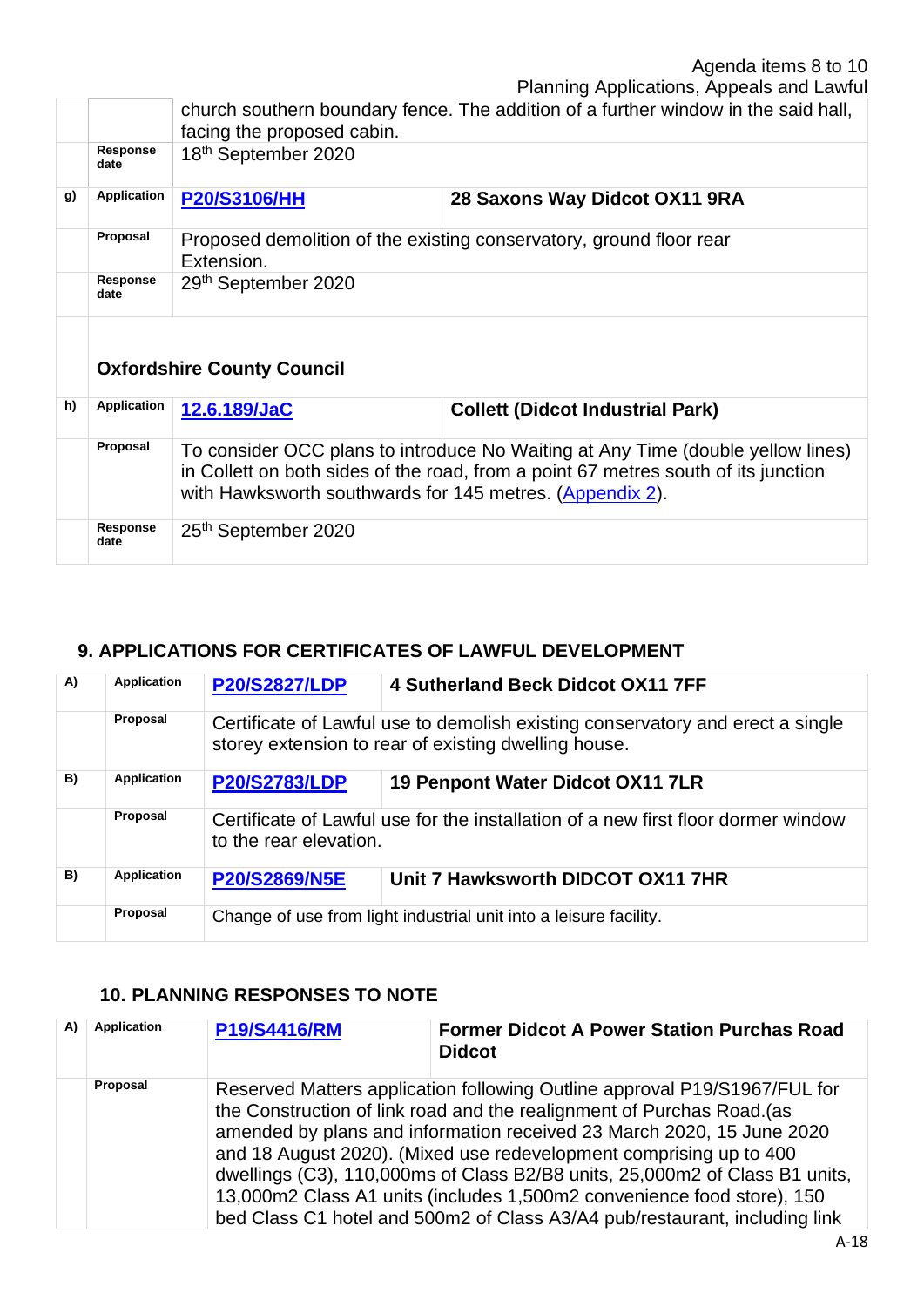Planning Applications, Appeals and Lawful

|    |                                   | church southern boundary fence. The addition of a further window in the said hall,<br>facing the proposed cabin.                                                                                                                  |                                         |  |  |  |
|----|-----------------------------------|-----------------------------------------------------------------------------------------------------------------------------------------------------------------------------------------------------------------------------------|-----------------------------------------|--|--|--|
|    | Response<br>date                  | 18 <sup>th</sup> September 2020                                                                                                                                                                                                   |                                         |  |  |  |
| g) | Application                       | <b>P20/S3106/HH</b><br>28 Saxons Way Didcot OX11 9RA                                                                                                                                                                              |                                         |  |  |  |
|    | Proposal                          | Proposed demolition of the existing conservatory, ground floor rear<br>Extension.                                                                                                                                                 |                                         |  |  |  |
|    | Response<br>date                  | 29th September 2020                                                                                                                                                                                                               |                                         |  |  |  |
|    | <b>Oxfordshire County Council</b> |                                                                                                                                                                                                                                   |                                         |  |  |  |
| h) | <b>Application</b>                | 12.6.189/JaC                                                                                                                                                                                                                      | <b>Collett (Didcot Industrial Park)</b> |  |  |  |
|    | Proposal                          | To consider OCC plans to introduce No Waiting at Any Time (double yellow lines)<br>in Collett on both sides of the road, from a point 67 metres south of its junction<br>with Hawksworth southwards for 145 metres. (Appendix 2). |                                         |  |  |  |
|    | Response<br>date                  | 25th September 2020                                                                                                                                                                                                               |                                         |  |  |  |

# **9. APPLICATIONS FOR CERTIFICATES OF LAWFUL DEVELOPMENT**

| A) | <b>Application</b> | <b>P20/S2827/LDP</b>                                                                                                                   | 4 Sutherland Beck Didcot OX11 7FF                                                 |  |
|----|--------------------|----------------------------------------------------------------------------------------------------------------------------------------|-----------------------------------------------------------------------------------|--|
|    | Proposal           | Certificate of Lawful use to demolish existing conservatory and erect a single<br>storey extension to rear of existing dwelling house. |                                                                                   |  |
| B) | <b>Application</b> | <b>P20/S2783/LDP</b>                                                                                                                   | 19 Penpont Water Didcot OX11 7LR                                                  |  |
|    | Proposal           | to the rear elevation.                                                                                                                 | Certificate of Lawful use for the installation of a new first floor dormer window |  |
| B) | <b>Application</b> | P20/S2869/N5E                                                                                                                          | Unit 7 Hawksworth DIDCOT OX11 7HR                                                 |  |
|    | Proposal           | Change of use from light industrial unit into a leisure facility.                                                                      |                                                                                   |  |

# **10. PLANNING RESPONSES TO NOTE**

| A) | <b>Application</b> | <b>P19/S4416/RM</b> | <b>Former Didcot A Power Station Purchas Road</b><br><b>Didcot</b>                                                                                                                                                                                                                                                                                                                                                                                                                                                                        |
|----|--------------------|---------------------|-------------------------------------------------------------------------------------------------------------------------------------------------------------------------------------------------------------------------------------------------------------------------------------------------------------------------------------------------------------------------------------------------------------------------------------------------------------------------------------------------------------------------------------------|
|    | Proposal           |                     | Reserved Matters application following Outline approval P19/S1967/FUL for<br>the Construction of link road and the realignment of Purchas Road. (as<br>amended by plans and information received 23 March 2020, 15 June 2020<br>and 18 August 2020). (Mixed use redevelopment comprising up to 400<br>dwellings (C3), 110,000ms of Class B2/B8 units, 25,000m2 of Class B1 units,<br>13,000m2 Class A1 units (includes 1,500m2 convenience food store), 150<br>bed Class C1 hotel and 500m2 of Class A3/A4 pub/restaurant, including link |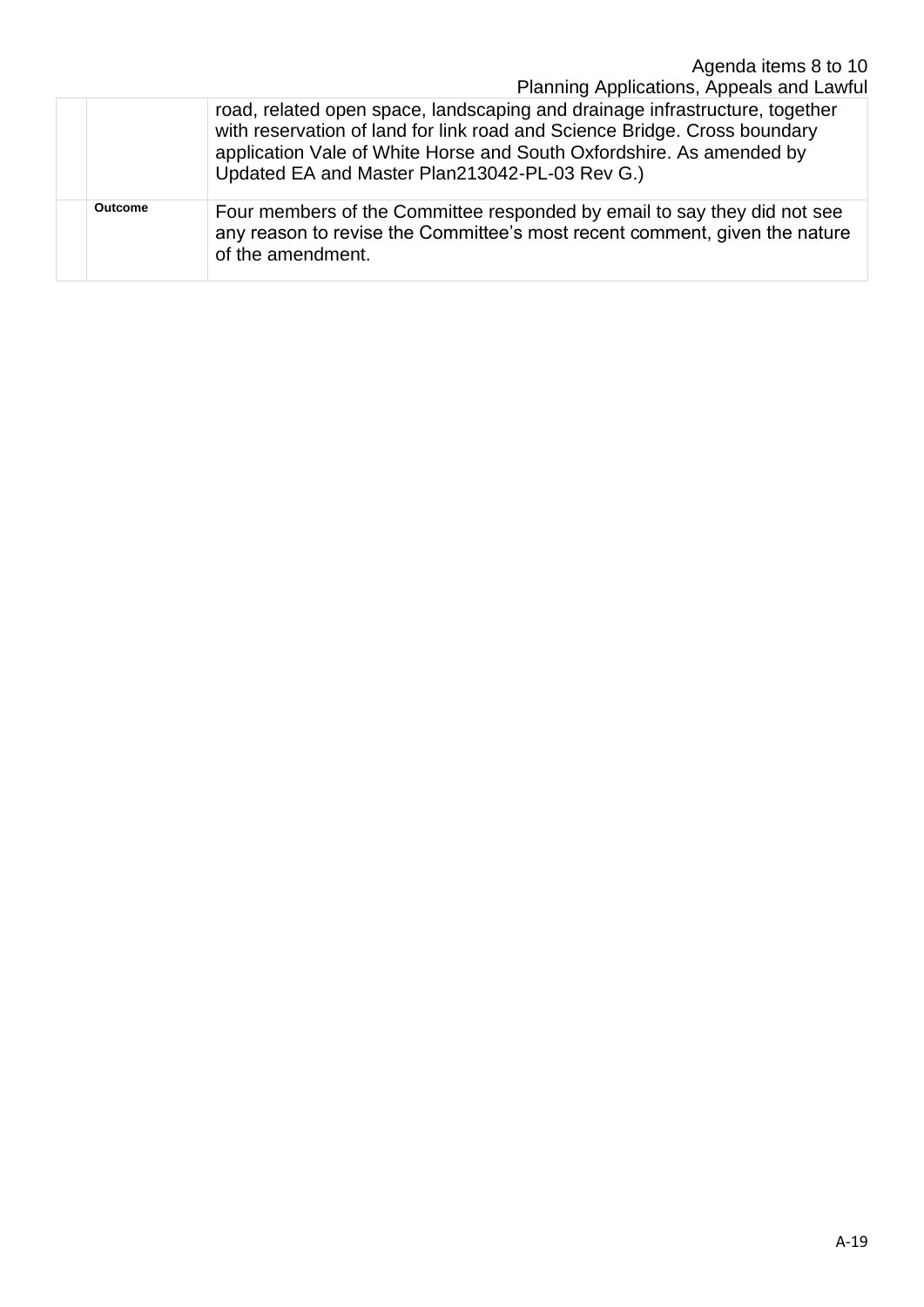|         | Agenda items 8 to 10<br>Planning Applications, Appeals and Lawful                                                                                                                                                                                                                  |
|---------|------------------------------------------------------------------------------------------------------------------------------------------------------------------------------------------------------------------------------------------------------------------------------------|
|         | road, related open space, landscaping and drainage infrastructure, together<br>with reservation of land for link road and Science Bridge. Cross boundary<br>application Vale of White Horse and South Oxfordshire. As amended by<br>Updated EA and Master Plan213042-PL-03 Rev G.) |
| Outcome | Four members of the Committee responded by email to say they did not see<br>any reason to revise the Committee's most recent comment, given the nature<br>of the amendment.                                                                                                        |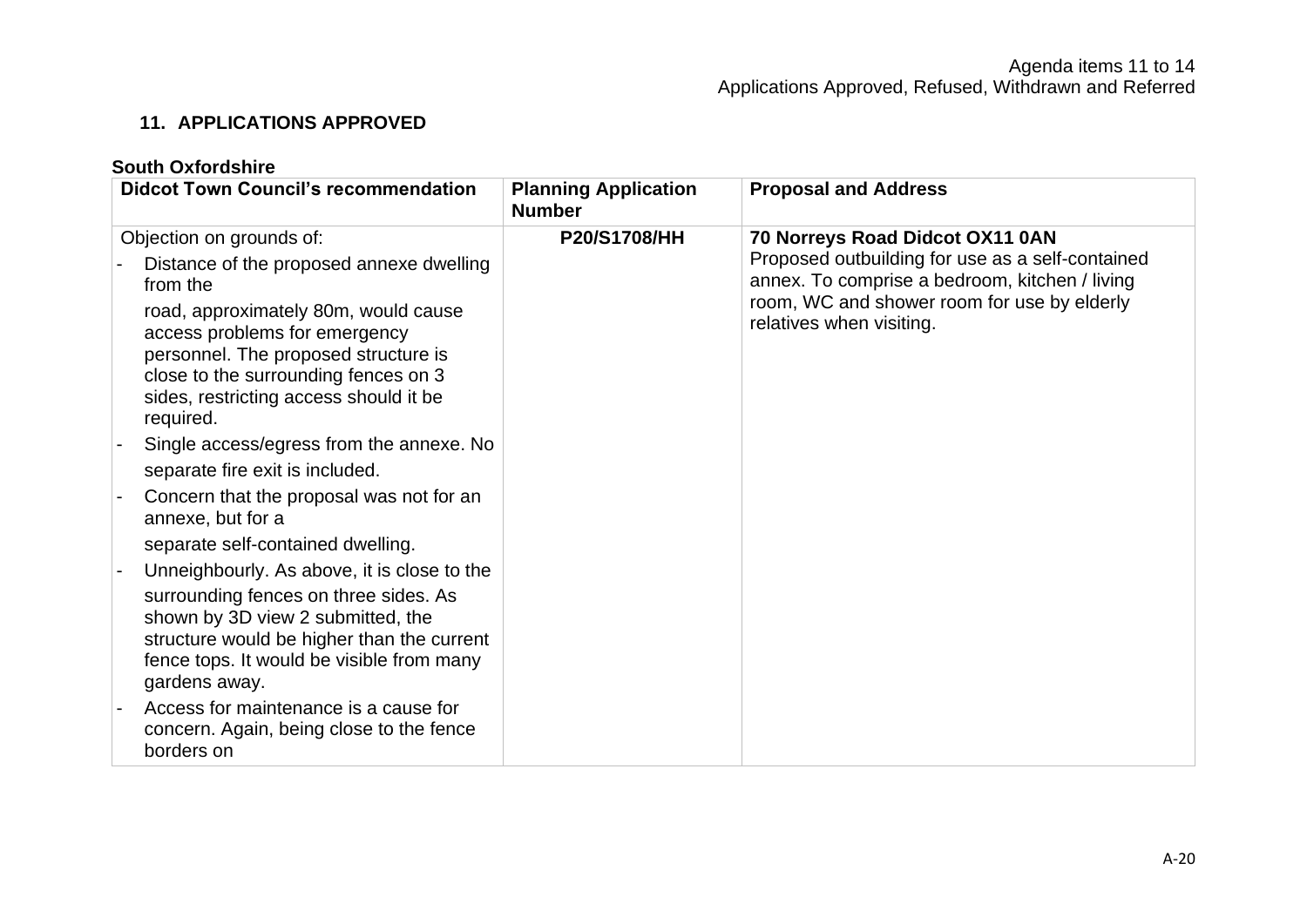# **11. APPLICATIONS APPROVED**

# **South Oxfordshire**

| <b>Didcot Town Council's recommendation</b>                                                                                                                                                                  | <b>Planning Application</b><br><b>Number</b> | <b>Proposal and Address</b>                                                                        |  |
|--------------------------------------------------------------------------------------------------------------------------------------------------------------------------------------------------------------|----------------------------------------------|----------------------------------------------------------------------------------------------------|--|
| Objection on grounds of:                                                                                                                                                                                     | <b>P20/S1708/HH</b>                          | 70 Norreys Road Didcot OX11 0AN                                                                    |  |
| Distance of the proposed annexe dwelling<br>from the                                                                                                                                                         |                                              | Proposed outbuilding for use as a self-contained<br>annex. To comprise a bedroom, kitchen / living |  |
| road, approximately 80m, would cause<br>access problems for emergency<br>personnel. The proposed structure is<br>close to the surrounding fences on 3<br>sides, restricting access should it be<br>required. |                                              | room, WC and shower room for use by elderly<br>relatives when visiting.                            |  |
| Single access/egress from the annexe. No                                                                                                                                                                     |                                              |                                                                                                    |  |
| separate fire exit is included.                                                                                                                                                                              |                                              |                                                                                                    |  |
| Concern that the proposal was not for an<br>annexe, but for a                                                                                                                                                |                                              |                                                                                                    |  |
| separate self-contained dwelling.                                                                                                                                                                            |                                              |                                                                                                    |  |
| Unneighbourly. As above, it is close to the                                                                                                                                                                  |                                              |                                                                                                    |  |
| surrounding fences on three sides. As<br>shown by 3D view 2 submitted, the<br>structure would be higher than the current<br>fence tops. It would be visible from many<br>gardens away.                       |                                              |                                                                                                    |  |
| Access for maintenance is a cause for<br>concern. Again, being close to the fence<br>borders on                                                                                                              |                                              |                                                                                                    |  |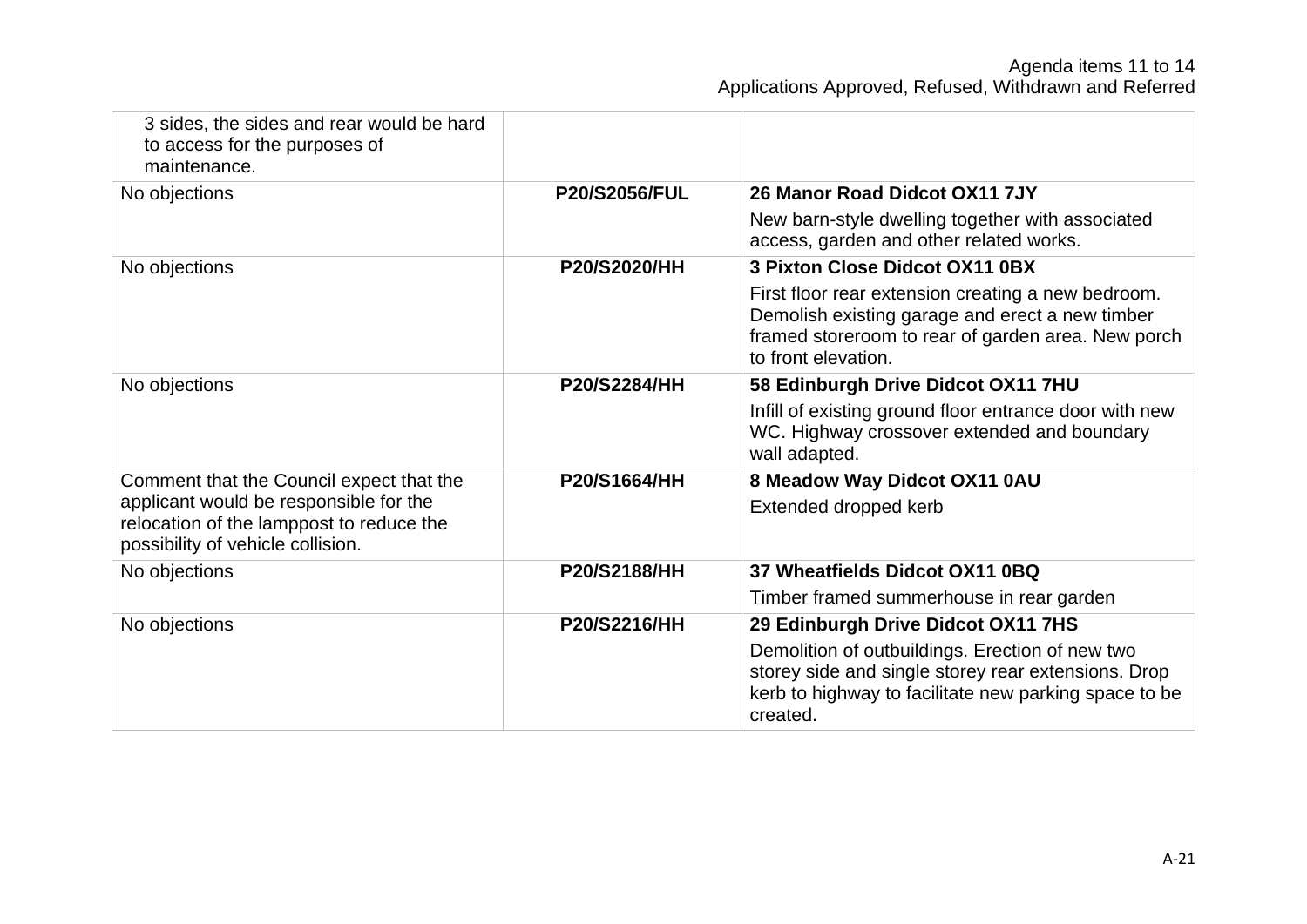| 3 sides, the sides and rear would be hard<br>to access for the purposes of<br>maintenance.                              |                      |                                                                                                                                                                                    |
|-------------------------------------------------------------------------------------------------------------------------|----------------------|------------------------------------------------------------------------------------------------------------------------------------------------------------------------------------|
| No objections                                                                                                           | <b>P20/S2056/FUL</b> | 26 Manor Road Didcot OX11 7JY                                                                                                                                                      |
|                                                                                                                         |                      | New barn-style dwelling together with associated<br>access, garden and other related works.                                                                                        |
| No objections                                                                                                           | <b>P20/S2020/HH</b>  | 3 Pixton Close Didcot OX11 0BX                                                                                                                                                     |
|                                                                                                                         |                      | First floor rear extension creating a new bedroom.<br>Demolish existing garage and erect a new timber<br>framed storeroom to rear of garden area. New porch<br>to front elevation. |
| No objections                                                                                                           | <b>P20/S2284/HH</b>  | 58 Edinburgh Drive Didcot OX11 7HU                                                                                                                                                 |
|                                                                                                                         |                      | Infill of existing ground floor entrance door with new<br>WC. Highway crossover extended and boundary<br>wall adapted.                                                             |
| Comment that the Council expect that the                                                                                | P20/S1664/HH         | 8 Meadow Way Didcot OX11 0AU                                                                                                                                                       |
| applicant would be responsible for the<br>relocation of the lamppost to reduce the<br>possibility of vehicle collision. |                      | Extended dropped kerb                                                                                                                                                              |
| No objections                                                                                                           | P20/S2188/HH         | 37 Wheatfields Didcot OX11 0BQ                                                                                                                                                     |
|                                                                                                                         |                      | Timber framed summerhouse in rear garden                                                                                                                                           |
| No objections                                                                                                           | P20/S2216/HH         | 29 Edinburgh Drive Didcot OX11 7HS                                                                                                                                                 |
|                                                                                                                         |                      | Demolition of outbuildings. Erection of new two<br>storey side and single storey rear extensions. Drop<br>kerb to highway to facilitate new parking space to be<br>created.        |